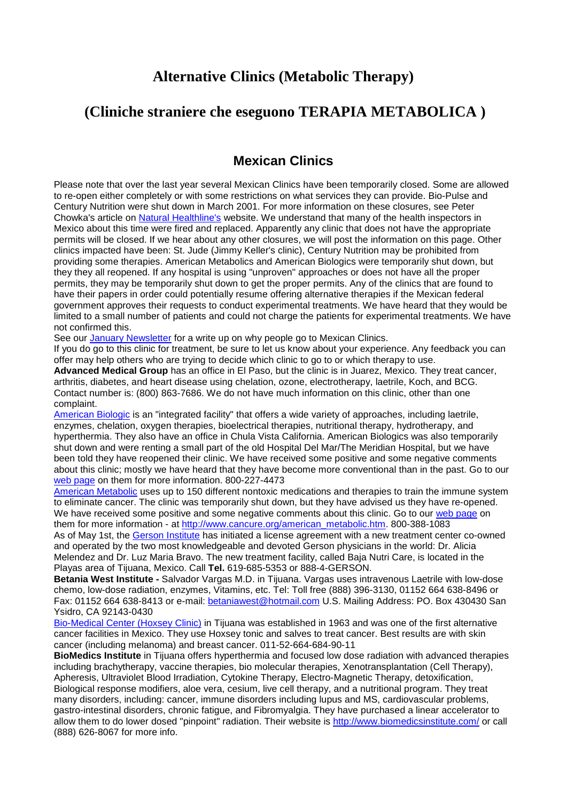## **Alternative Clinics (Metabolic Therapy)**

## **(Cliniche straniere che eseguono TERAPIA METABOLICA )**

## **Mexican Clinics**

Please note that over the last year several Mexican Clinics have been temporarily closed. Some are allowed to re-open either completely or with some restrictions on what services they can provide. Bio-Pulse and Century Nutrition were shut down in March 2001. For more information on these closures, see Peter Chowka's article on [Natural Healthline's](http://naturalhealthline.com/) website. We understand that many of the health inspectors in Mexico about this time were fired and replaced. Apparently any clinic that does not have the appropriate permits will be closed. If we hear about any other closures, we will post the information on this page. Other clinics impacted have been: St. Jude (Jimmy Keller's clinic), Century Nutrition may be prohibited from providing some therapies. American Metabolics and American Biologics were temporarily shut down, but they they all reopened. If any hospital is using "unproven" approaches or does not have all the proper permits, they may be temporarily shut down to get the proper permits. Any of the clinics that are found to have their papers in order could potentially resume offering alternative therapies if the Mexican federal government approves their requests to conduct experimental treatments. We have heard that they would be limited to a small number of patients and could not charge the patients for experimental treatments. We have not confirmed this.

See our January Newsletter for a write up on why people go to Mexican Clinics.

If you do go to this clinic for treatment, be sure to let us know about your experience. Any feedback you can offer may help others who are trying to decide which clinic to go to or which therapy to use.

**Advanced Medical Group** has an office in El Paso, but the clinic is in Juarez, Mexico. They treat cancer, arthritis, diabetes, and heart disease using chelation, ozone, electrotherapy, laetrile, Koch, and BCG. Contact number is: (800) 863-7686. We do not have much information on this clinic, other than one complaint.

American Biologic is an "integrated facility" that offers a wide variety of approaches, including laetrile, enzymes, chelation, oxygen therapies, bioelectrical therapies, nutritional therapy, hydrotherapy, and hyperthermia. They also have an office in Chula Vista California. American Biologics was also temporarily shut down and were renting a small part of the old Hospital Del Mar/The Meridian Hospital, but we have been told they have reopened their clinic. We have received some positive and some negative comments about this clinic; mostly we have heard that they have become more conventional than in the past. Go to our web page on them for more information. 800-227-4473

American Metabolic uses up to 150 different nontoxic medications and therapies to train the immune system to eliminate cancer. The clinic was temporarily shut down, but they have advised us they have re-opened. We have received some positive and some negative comments about this clinic. Go to our web page on them for more information - at http://www.cancure.org/american\_metabolic.htm. 800-388-1083 As of May 1st, the Gerson Institute has initiated a license agreement with a new treatment center co-owned and operated by the two most knowledgeable and devoted Gerson physicians in the world: Dr. Alicia Melendez and Dr. Luz Maria Bravo. The new treatment facility, called Baja Nutri Care, is located in the Playas area of Tijuana, Mexico. Call **Tel.** 619-685-5353 or 888-4-GERSON.

**Betania West Institute -** Salvador Vargas M.D. in Tijuana. Vargas uses intravenous Laetrile with low-dose chemo, low-dose radiation, enzymes, Vitamins, etc. Tel: Toll free (888) 396-3130, 01152 664 638-8496 or Fax: 01152 664 638-8413 or e-mail: [betaniawest@hotmail.com](mailto:betaniawest@hotmail.com) U.S. Mailing Address: PO. Box 430430 San Ysidro, CA 92143-0430

Bio-Medical Center (Hoxsey Clinic) in Tijuana was established in 1963 and was one of the first alternative cancer facilities in Mexico. They use Hoxsey tonic and salves to treat cancer. Best results are with skin cancer (including melanoma) and breast cancer. 011-52-664-684-90-11

**BioMedics Institute** in Tijuana offers hyperthermia and focused low dose radiation with advanced therapies including brachytherapy, vaccine therapies, bio molecular therapies, Xenotransplantation (Cell Therapy), Apheresis, Ultraviolet Blood Irradiation, Cytokine Therapy, Electro-Magnetic Therapy, detoxification, Biological response modifiers, aloe vera, cesium, live cell therapy, and a nutritional program. They treat many disorders, including: cancer, immune disorders including lupus and MS, cardiovascular problems, gastro-intestinal disorders, chronic fatigue, and Fibromyalgia. They have purchased a linear accelerator to allow them to do lower dosed "pinpoint" radiation. Their website is<http://www.biomedicsinstitute.com/> or call (888) 626-8067 for more info.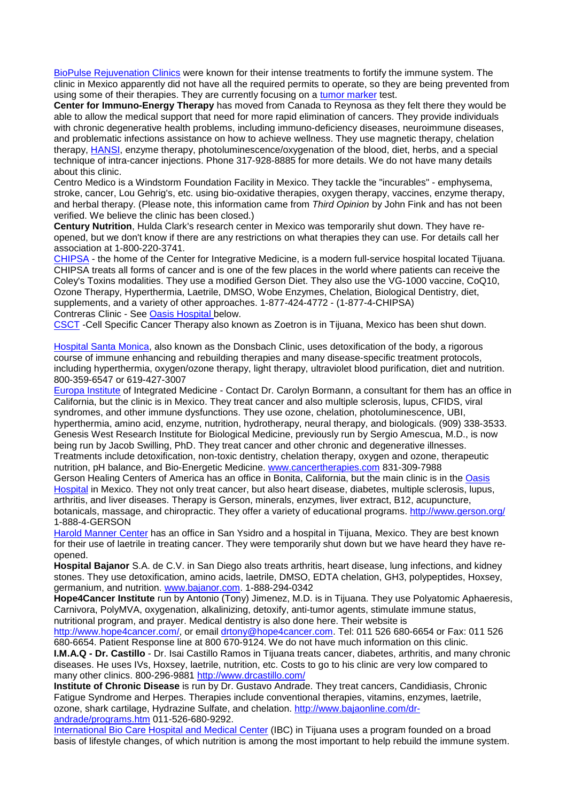BioPulse Rejuvenation Clinics were known for their intense treatments to fortify the immune system. The clinic in Mexico apparently did not have all the required permits to operate, so they are being prevented from using some of their therapies. They are currently focusing on a tumor marker test.

**Center for Immuno-Energy Therapy** has moved from Canada to Reynosa as they felt there they would be able to allow the medical support that need for more rapid elimination of cancers. They provide individuals with chronic degenerative health problems, including immuno-deficiency diseases, neuroimmune diseases, and problematic infections assistance on how to achieve wellness. They use magnetic therapy, chelation therapy, HANSI, enzyme therapy, photoluminescence/oxygenation of the blood, diet, herbs, and a special technique of intra-cancer injections. Phone 317-928-8885 for more details. We do not have many details about this clinic.

Centro Medico is a Windstorm Foundation Facility in Mexico. They tackle the "incurables" - emphysema, stroke, cancer, Lou Gehrig's, etc. using bio-oxidative therapies, oxygen therapy, vaccines, enzyme therapy, and herbal therapy. (Please note, this information came from *Third Opinion* by John Fink and has not been verified. We believe the clinic has been closed.)

**Century Nutrition**, Hulda Clark's research center in Mexico was temporarily shut down. They have reopened, but we don't know if there are any restrictions on what therapies they can use. For details call her association at 1-800-220-3741.

CHIPSA - the home of the Center for Integrative Medicine, is a modern full-service hospital located Tijuana. CHIPSA treats all forms of cancer and is one of the few places in the world where patients can receive the Coley's Toxins modalities. They use a modified Gerson Diet. They also use the VG-1000 vaccine, CoQ10, Ozone Therapy, Hyperthermia, Laetrile, DMSO, Wobe Enzymes, Chelation, Biological Dentistry, diet, supplements, and a variety of other approaches. 1-877-424-4772 - (1-877-4-CHIPSA) Contreras Clinic - See Oasis Hospital below.

CSCT -Cell Specific Cancer Therapy also known as Zoetron is in Tijuana, Mexico has been shut down.

Hospital Santa Monica, also known as the Donsbach Clinic, uses detoxification of the body, a rigorous course of immune enhancing and rebuilding therapies and many disease-specific treatment protocols, including hyperthermia, oxygen/ozone therapy, light therapy, ultraviolet blood purification, diet and nutrition. 800-359-6547 or 619-427-3007

Europa Institute of Integrated Medicine - Contact Dr. Carolyn Bormann, a consultant for them has an office in California, but the clinic is in Mexico. They treat cancer and also multiple sclerosis, lupus, CFIDS, viral syndromes, and other immune dysfunctions. They use ozone, chelation, photoluminescence, UBI, hyperthermia, amino acid, enzyme, nutrition, hydrotherapy, neural therapy, and biologicals. (909) 338-3533. Genesis West Research Institute for Biological Medicine, previously run by Sergio Amescua, M.D., is now being run by Jacob Swilling, PhD. They treat cancer and other chronic and degenerative illnesses. Treatments include detoxification, non-toxic dentistry, chelation therapy, oxygen and ozone, therapeutic nutrition, pH balance, and Bio-Energetic Medicine. [www.cancertherapies.com](http://www.cancertherapies.com/) 831-309-7988

Gerson Healing Centers of America has an office in Bonita, California, but the main clinic is in the Oasis Hospital in Mexico. They not only treat cancer, but also heart disease, diabetes, multiple sclerosis, lupus, arthritis, and liver diseases. Therapy is Gerson, minerals, enzymes, liver extract, B12, acupuncture, botanicals, massage, and chiropractic. They offer a variety of educational programs.<http://www.gerson.org/> 1-888-4-GERSON

Harold Manner Center has an office in San Ysidro and a hospital in Tijuana, Mexico. They are best known for their use of laetrile in treating cancer. They were temporarily shut down but we have heard they have reopened.

**Hospital Bajanor** S.A. de C.V. in San Diego also treats arthritis, heart disease, lung infections, and kidney stones. They use detoxification, amino acids, laetrile, DMSO, EDTA chelation, GH3, polypeptides, Hoxsey, germanium, and nutrition. [www.bajanor.com.](http://www.bajanor.com/) 1-888-294-0342

**Hope4Cancer Institute** run by Antonio (Tony) Jimenez, M.D. is in Tijuana. They use Polyatomic Aphaeresis, Carnivora, PolyMVA, oxygenation, alkalinizing, detoxify, anti-tumor agents, stimulate immune status, nutritional program, and prayer. Medical dentistry is also done here. Their website is

[http://www.hope4cancer.com/,](http://www.hope4cancer.com/) or email [drtony@hope4cancer.com.](mailto:drtony@hope4cancer.com) Tel: 011 526 680-6654 or Fax: 011 526 680-6654. Patient Response line at 800 670-9124. We do not have much information on this clinic.

**I.M.A.Q - Dr. Castillo** - Dr. Isai Castillo Ramos in Tijuana treats cancer, diabetes, arthritis, and many chronic diseases. He uses IVs, Hoxsey, laetrile, nutrition, etc. Costs to go to his clinic are very low compared to many other clinics. 800-296-9881<http://www.drcastillo.com/>

**Institute of Chronic Disease** is run by Dr. Gustavo Andrade. They treat cancers, Candidiasis, Chronic Fatigue Syndrome and Herpes. Therapies include conventional therapies, vitamins, enzymes, laetrile, ozone, shark cartilage, Hydrazine Sulfate, and chelation. [http://www.bajaonline.com/dr](http://www.bajaonline.com/dr-andrade/programs.htm)[andrade/programs.htm](http://www.bajaonline.com/dr-andrade/programs.htm) 011-526-680-9292.

International Bio Care Hospital and Medical Center (IBC) in Tijuana uses a program founded on a broad basis of lifestyle changes, of which nutrition is among the most important to help rebuild the immune system.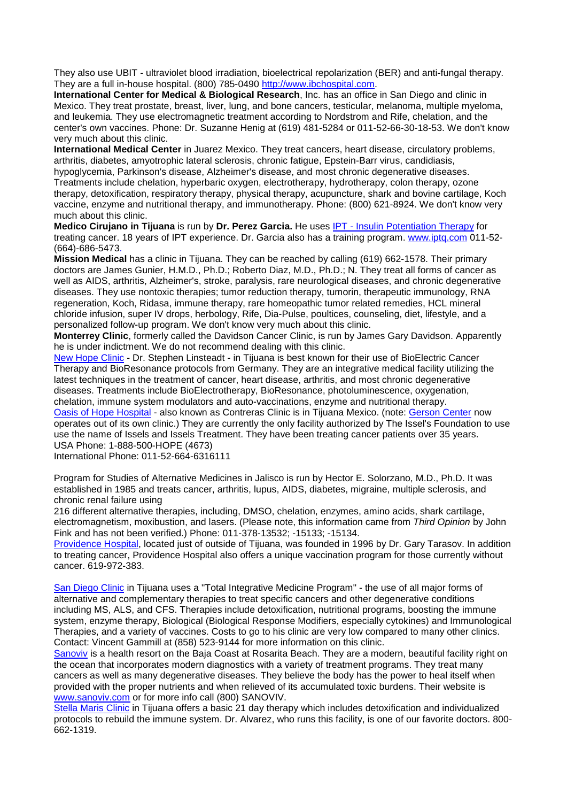They also use UBIT - ultraviolet blood irradiation, bioelectrical repolarization (BER) and anti-fungal therapy. They are a full in-house hospital. (800) 785-0490 [http://www.ibchospital.com.](http://www.ibchospital.com/)

**International Center for Medical & Biological Research**, Inc. has an office in San Diego and clinic in Mexico. They treat prostate, breast, liver, lung, and bone cancers, testicular, melanoma, multiple myeloma, and leukemia. They use electromagnetic treatment according to Nordstrom and Rife, chelation, and the center's own vaccines. Phone: Dr. Suzanne Henig at (619) 481-5284 or 011-52-66-30-18-53. We don't know very much about this clinic.

**International Medical Center** in Juarez Mexico. They treat cancers, heart disease, circulatory problems, arthritis, diabetes, amyotrophic lateral sclerosis, chronic fatigue, Epstein-Barr virus, candidiasis, hypoglycemia, Parkinson's disease, Alzheimer's disease, and most chronic degenerative diseases.

Treatments include chelation, hyperbaric oxygen, electrotherapy, hydrotherapy, colon therapy, ozone therapy, detoxification, respiratory therapy, physical therapy, acupuncture, shark and bovine cartilage, Koch vaccine, enzyme and nutritional therapy, and immunotherapy. Phone: (800) 621-8924. We don't know very much about this clinic.

**Medico Cirujano in Tijuana** is run by **Dr. Perez Garcia.** He uses IPT - Insulin Potentiation Therapy for treating cancer. 18 years of IPT experience. Dr. Garcia also has a training program. [www.iptq.com](http://www.iptq.com/) 011-52- (664)-686-5473.

**Mission Medical** has a clinic in Tijuana. They can be reached by calling (619) 662-1578. Their primary doctors are James Gunier, H.M.D., Ph.D.; Roberto Diaz, M.D., Ph.D.; N. They treat all forms of cancer as well as AIDS, arthritis, Alzheimer's, stroke, paralysis, rare neurological diseases, and chronic degenerative diseases. They use nontoxic therapies; tumor reduction therapy, tumorin, therapeutic immunology, RNA regeneration, Koch, Ridasa, immune therapy, rare homeopathic tumor related remedies, HCL mineral chloride infusion, super IV drops, herbology, Rife, Dia-Pulse, poultices, counseling, diet, lifestyle, and a personalized follow-up program. We don't know very much about this clinic.

**Monterrey Clinic**, formerly called the Davidson Cancer Clinic, is run by James Gary Davidson. Apparently he is under indictment. We do not recommend dealing with this clinic.

New Hope Clinic - Dr. Stephen Linsteadt - in Tijuana is best known for their use of BioElectric Cancer Therapy and BioResonance protocols from Germany. They are an integrative medical facility utilizing the latest techniques in the treatment of cancer, heart disease, arthritis, and most chronic degenerative diseases. Treatments include BioElectrotherapy, BioResonance, photoluminescence, oxygenation, chelation, immune system modulators and auto-vaccinations, enzyme and nutritional therapy.

Oasis of Hope Hospital - also known as Contreras Clinic is in Tijuana Mexico. (note: Gerson Center now operates out of its own clinic.) They are currently the only facility authorized by The Issel's Foundation to use use the name of Issels and Issels Treatment. They have been treating cancer patients over 35 years. USA Phone: 1-888-500-HOPE (4673)

International Phone: 011-52-664-6316111

Program for Studies of Alternative Medicines in Jalisco is run by Hector E. Solorzano, M.D., Ph.D. It was established in 1985 and treats cancer, arthritis, lupus, AIDS, diabetes, migraine, multiple sclerosis, and chronic renal failure using

216 different alternative therapies, including, DMSO, chelation, enzymes, amino acids, shark cartilage, electromagnetism, moxibustion, and lasers. (Please note, this information came from *Third Opinion* by John Fink and has not been verified.) Phone: 011-378-13532; -15133; -15134.

Providence Hospital, located just of outside of Tijuana, was founded in 1996 by Dr. Gary Tarasov. In addition to treating cancer, Providence Hospital also offers a unique vaccination program for those currently without cancer. 619-972-383.

San Diego Clinic in Tijuana uses a "Total Integrative Medicine Program" - the use of all major forms of alternative and complementary therapies to treat specific cancers and other degenerative conditions including MS, ALS, and CFS. Therapies include detoxification, nutritional programs, boosting the immune system, enzyme therapy, Biological (Biological Response Modifiers, especially cytokines) and Immunological Therapies, and a variety of vaccines. Costs to go to his clinic are very low compared to many other clinics. Contact: Vincent Gammill at (858) 523-9144 for more information on this clinic.

Sanoviv is a health resort on the Baja Coast at Rosarita Beach. They are a modern, beautiful facility right on the ocean that incorporates modern diagnostics with a variety of treatment programs. They treat many cancers as well as many degenerative diseases. They believe the body has the power to heal itself when provided with the proper nutrients and when relieved of its accumulated toxic burdens. Their website is [www.sanoviv.com](http://www.sanoviv.com/) or for more info call (800) SANOVIV.

Stella Maris Clinic in Tijuana offers a basic 21 day therapy which includes detoxification and individualized protocols to rebuild the immune system. Dr. Alvarez, who runs this facility, is one of our favorite doctors. 800- 662-1319.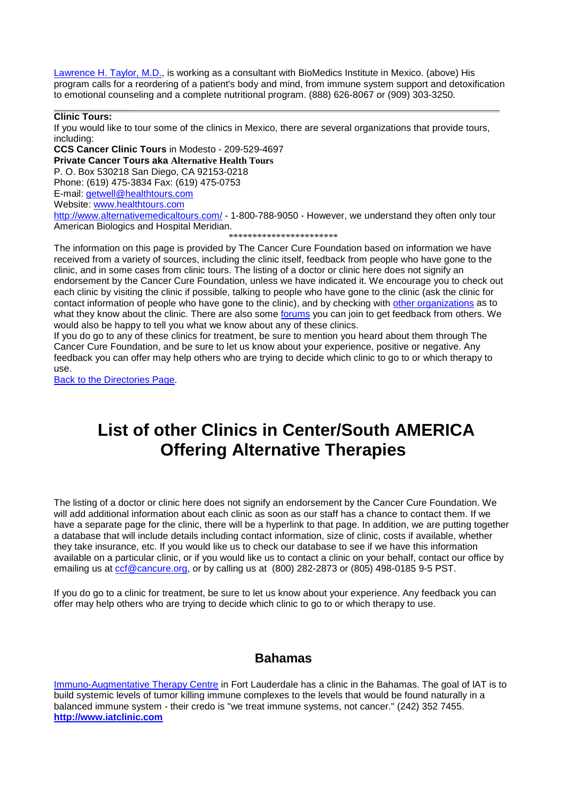Lawrence H. Taylor, M.D., is working as a consultant with BioMedics Institute in Mexico. (above) His program calls for a reordering of a patient's body and mind, from immune system support and detoxification to emotional counseling and a complete nutritional program. (888) 626-8067 or (909) 303-3250.

**Clinic Tours:**

If you would like to tour some of the clinics in Mexico, there are several organizations that provide tours, including:

**CCS Cancer Clinic Tours** in Modesto - 209-529-4697

**Private Cancer Tours aka Alternative Health Tours** 

P. O. Box 530218 San Diego, CA 92153-0218 Phone: (619) 475-3834 Fax: (619) 475-0753

E-mail: [getwell@healthtours.com](mailto:getwell@healthtours.com)

Website: [www.healthtours.com](http://www.healthtours.com/)

<http://www.alternativemedicaltours.com/> - 1-800-788-9050 - However, we understand they often only tour American Biologics and Hospital Meridian.

\*\*\*\*\*\*\*\*\*\*\*\*\*\*\*\*\*\*\*\*\*\*\*

The information on this page is provided by The Cancer Cure Foundation based on information we have received from a variety of sources, including the clinic itself, feedback from people who have gone to the clinic, and in some cases from clinic tours. The listing of a doctor or clinic here does not signify an endorsement by the Cancer Cure Foundation, unless we have indicated it. We encourage you to check out each clinic by visiting the clinic if possible, talking to people who have gone to the clinic (ask the clinic for contact information of people who have gone to the clinic), and by checking with other organizations as to what they know about the clinic. There are also some forums you can join to get feedback from others. We would also be happy to tell you what we know about any of these clinics.

If you do go to any of these clinics for treatment, be sure to mention you heard about them through The Cancer Cure Foundation, and be sure to let us know about your experience, positive or negative. Any feedback you can offer may help others who are trying to decide which clinic to go to or which therapy to use.

Back to the Directories Page.

# **List of other Clinics in Center/South AMERICA Offering Alternative Therapies**

The listing of a doctor or clinic here does not signify an endorsement by the Cancer Cure Foundation. We will add additional information about each clinic as soon as our staff has a chance to contact them. If we have a separate page for the clinic, there will be a hyperlink to that page. In addition, we are putting together a database that will include details including contact information, size of clinic, costs if available, whether they take insurance, etc. If you would like us to check our database to see if we have this information available on a particular clinic, or if you would like us to contact a clinic on your behalf, contact our office by emailing us at cof@cancure.org, or by calling us at (800) 282-2873 or (805) 498-0185 9-5 PST.

If you do go to a clinic for treatment, be sure to let us know about your experience. Any feedback you can offer may help others who are trying to decide which clinic to go to or which therapy to use.

## **Bahamas**

[Immuno-Augmentative Therapy Centre](http://www.cancure.org/iat_clinic.htm) in Fort Lauderdale has a clinic in the Bahamas. The goal of lAT is to build systemic levels of tumor killing immune complexes to the levels that would be found naturally in a balanced immune system - their credo is "we treat immune systems, not cancer." (242) 352 7455. **[http://www.iatclinic.com](http://www.iatclinic.com/)**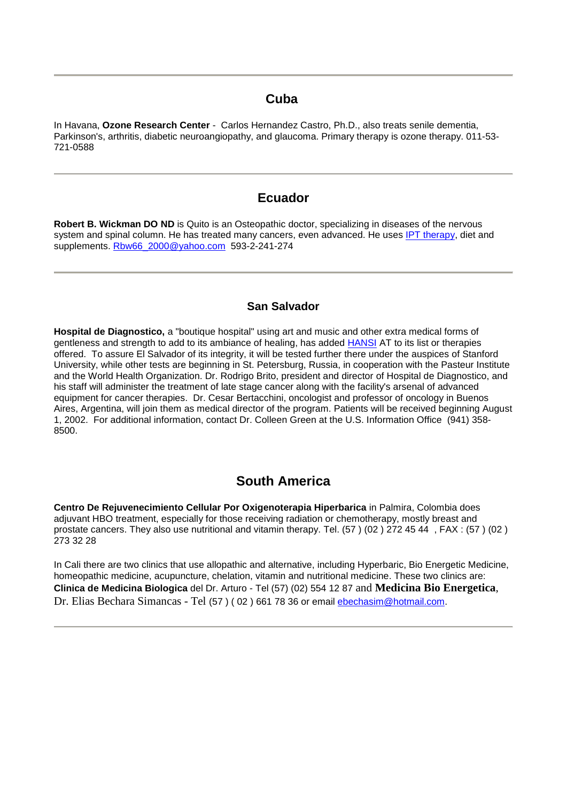## **Cuba**

In Havana, **Ozone Research Center** - Carlos Hernandez Castro, Ph.D., also treats senile dementia, Parkinson's, arthritis, diabetic neuroangiopathy, and glaucoma. Primary therapy is ozone therapy. 011-53- 721-0588

## **Ecuador**

**Robert B. Wickman DO ND** is Quito is an Osteopathic doctor, specializing in diseases of the nervous system and spinal column. He has treated many cancers, even advanced. He uses [IPT therapy,](http://www.cancure.org/insulin_potentiation_therapy.htm) diet and supplements. [Rbw66\\_2000@yahoo.com](mailto:Rbw66_2000@yahoo.com) 593-2-241-274

### **San Salvador**

**Hospital de Diagnostico,** a "boutique hospital" using art and music and other extra medical forms of gentleness and strength to add to its ambiance of healing, has added [HANSI](http://www.cancure.org/hansi.htm) AT to its list or therapies offered. To assure El Salvador of its integrity, it will be tested further there under the auspices of Stanford University, while other tests are beginning in St. Petersburg, Russia, in cooperation with the Pasteur Institute and the World Health Organization. Dr. Rodrigo Brito, president and director of Hospital de Diagnostico, and his staff will administer the treatment of late stage cancer along with the facility's arsenal of advanced equipment for cancer therapies. Dr. Cesar Bertacchini, oncologist and professor of oncology in Buenos Aires, Argentina, will join them as medical director of the program. Patients will be received beginning August 1, 2002. For additional information, contact Dr. Colleen Green at the U.S. Information Office (941) 358- 8500.

## **South America**

**Centro De Rejuvenecimiento Cellular Por Oxigenoterapia Hiperbarica** in Palmira, Colombia does adjuvant HBO treatment, especially for those receiving radiation or chemotherapy, mostly breast and prostate cancers. They also use nutritional and vitamin therapy. Tel. (57 ) (02 ) 272 45 44 , FAX : (57 ) (02 ) 273 32 28

In Cali there are two clinics that use allopathic and alternative, including Hyperbaric, Bio Energetic Medicine, homeopathic medicine, acupuncture, chelation, vitamin and nutritional medicine. These two clinics are: **Clinica de Medicina Biologica** del Dr. Arturo - Tel (57) (02) 554 12 87 and **Medicina Bio Energetica**, Dr. Elias Bechara Simancas - Tel (57 ) ( 02 ) 661 78 36 or email [ebechasim@hotmail.com.](mailto:ebechasim@hotmail.com)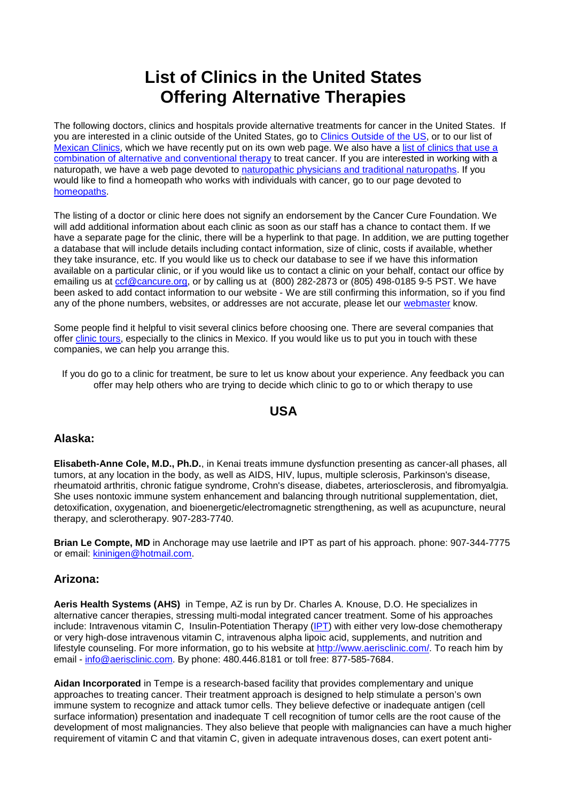# **List of Clinics in the United States Offering Alternative Therapies**

The following doctors, clinics and hospitals provide alternative treatments for cancer in the United States. If you are interested in a clinic outside of the United States, go to [Clinics Outside of the US,](http://www.cancure.org/directory_clinics_outside%20US.htm) or to our list of [Mexican Clinics,](http://www.cancure.org/directory_mexican_clinics.htm) which we have recently put on its own web page. We also have a [list of clinics that use a](http://www.cancure.org/combining_alternative_with_conventional.htm)  [combination of alternative and conventional therapy](http://www.cancure.org/combining_alternative_with_conventional.htm) to treat cancer. If you are interested in working with a naturopath, we have a web page devoted to [naturopathic physicians and traditional naturopaths.](http://www.cancure.org/naturopaths.htm) If you would like to find a homeopath who works with individuals with cancer, go to our page devoted to [homeopaths.](http://www.cancure.org/homeopathy.htm)

The listing of a doctor or clinic here does not signify an endorsement by the Cancer Cure Foundation. We will add additional information about each clinic as soon as our staff has a chance to contact them. If we have a separate page for the clinic, there will be a hyperlink to that page. In addition, we are putting together a database that will include details including contact information, size of clinic, costs if available, whether they take insurance, etc. If you would like us to check our database to see if we have this information available on a particular clinic, or if you would like us to contact a clinic on your behalf, contact our office by emailing us at [ccf@cancure.org,](mailto:CCF@cancure.org) or by calling us at (800) 282-2873 or (805) 498-0185 9-5 PST. We have been asked to add contact information to our website - We are still confirming this information, so if you find any of the phone numbers, websites, or addresses are not accurate, please let our [webmaster](mailto:webmaster@cancure.org) know.

Some people find it helpful to visit several clinics before choosing one. There are several companies that offer [clinic tours,](http://www.cancure.org/directory_mexican_clinics.htm) especially to the clinics in Mexico. If you would like us to put you in touch with these companies, we can help you arrange this.

If you do go to a clinic for treatment, be sure to let us know about your experience. Any feedback you can offer may help others who are trying to decide which clinic to go to or which therapy to use

## **USA**

#### **Alaska:**

**Elisabeth-Anne Cole, M.D., Ph.D.**, in Kenai treats immune dysfunction presenting as cancer-all phases, all tumors, at any location in the body, as well as AIDS, HIV, lupus, multiple sclerosis, Parkinson's disease, rheumatoid arthritis, chronic fatigue syndrome, Crohn's disease, diabetes, arteriosclerosis, and fibromyalgia. She uses nontoxic immune system enhancement and balancing through nutritional supplementation, diet, detoxification, oxygenation, and bioenergetic/electromagnetic strengthening, as well as acupuncture, neural therapy, and sclerotherapy. 907-283-7740.

**Brian Le Compte, MD** in Anchorage may use laetrile and IPT as part of his approach. phone: 907-344-7775 or email: [kininigen@hotmail.com.](mailto:kininigen@hotmail.com)

#### **Arizona:**

**Aeris Health Systems (AHS)** in Tempe, AZ is run by Dr. Charles A. Knouse, D.O. He specializes in alternative cancer therapies, stressing multi-modal integrated cancer treatment. Some of his approaches include: Intravenous vitamin C, Insulin-Potentiation Therapy [\(IPT\)](http://www.cancure.org/insulin_potentiation_therapy.htm) with either very low-dose chemotherapy or very high-dose intravenous vitamin C, intravenous alpha lipoic acid, supplements, and nutrition and lifestyle counseling. For more information, go to his website at [http://www.aerisclinic.com/.](http://www.aerisclinic.com/) To reach him by email - [info@aerisclinic.com.](mailto:info@aerisclinic.com) By phone: 480.446.8181 or toll free: 877-585-7684.

**Aidan Incorporated** in Tempe is a research-based facility that provides complementary and unique approaches to treating cancer. Their treatment approach is designed to help stimulate a person's own immune system to recognize and attack tumor cells. They believe defective or inadequate antigen (cell surface information) presentation and inadequate T cell recognition of tumor cells are the root cause of the development of most malignancies. They also believe that people with malignancies can have a much higher requirement of vitamin C and that vitamin C, given in adequate intravenous doses, can exert potent anti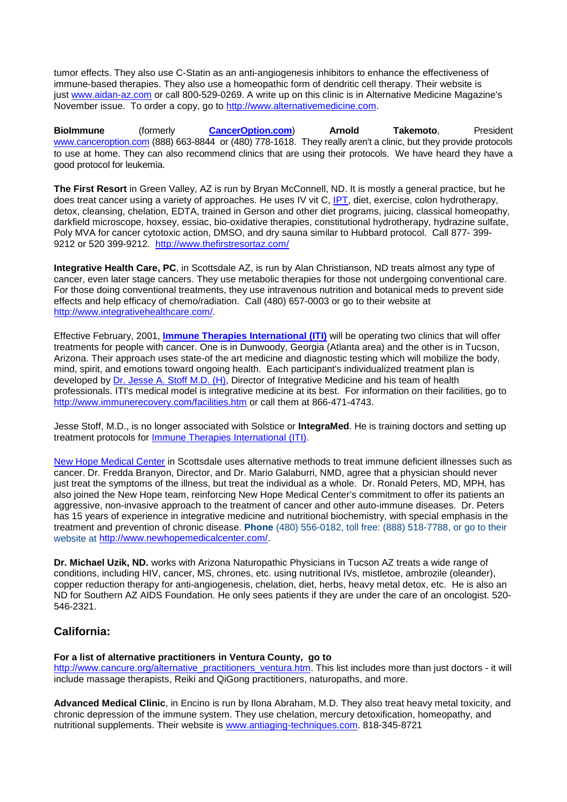tumor effects. They also use C-Statin as an anti-angiogenesis inhibitors to enhance the effectiveness of immune-based therapies. They also use a homeopathic form of dendritic cell therapy. Their website is just [www.aidan-az.com](http://www.aidan-az.com/) or call 800-529-0269. A write up on this clinic is in Alternative Medicine Magazine's November issue. To order a copy, go to [http://www.alternativemedicine.com.](http://www.alternativemedicine.com/)

**BioImmune** (formerly **[CancerOption.com](http://www.canceroption.com/)**) **Arnold Takemoto**, President [www.canceroption.com](http://www.canceroption.com/) (888) 663-8844 or (480) 778-1618. They really aren't a clinic, but they provide protocols to use at home. They can also recommend clinics that are using their protocols. We have heard they have a good protocol for leukemia.

**The First Resort** in Green Valley, AZ is run by Bryan McConnell, ND. It is mostly a general practice, but he does treat cancer using a variety of approaches. He uses IV vit C, [IPT,](http://www.cancure.org/insulin_potentiation_therapy.htm) diet, exercise, colon hydrotherapy, detox, cleansing, chelation, EDTA, trained in Gerson and other diet programs, juicing, classical homeopathy, darkfield microscope, hoxsey, essiac, bio-oxidative therapies, constitutional hydrotherapy, hydrazine sulfate, Poly MVA for cancer cytotoxic action, DMSO, and dry sauna similar to Hubbard protocol. Call 877- 399- 9212 or 520 399-9212. <http://www.thefirstresortaz.com/>

**Integrative Health Care, PC**, in Scottsdale AZ, is run by Alan Christianson, ND treats almost any type of cancer, even later stage cancers. They use metabolic therapies for those not undergoing conventional care. For those doing conventional treatments, they use intravenous nutrition and botanical meds to prevent side effects and help efficacy of chemo/radiation. Call (480) 657-0003 or go to their website at [http://www.integrativehealthcare.com/.](http://www.integrativehealthcare.com/)

Effective February, 2001, **[Immune Therapies International \(ITI\)](http://www.cancure.org/immune_therapies_international.htm)** will be operating two clinics that will offer treatments for people with cancer. One is in Dunwoody, Georgia (Atlanta area) and the other is in Tucson, Arizona. Their approach uses state-of the art medicine and diagnostic testing which will mobilize the body, mind, spirit, and emotions toward ongoing health. Each participant's individualized treatment plan is developed by [Dr. Jesse A. Stoff M.D. \(H\),](http://www.immunerecovery.com/drstoff.htm) Director of Integrative Medicine and his team of health professionals. ITI's medical model is integrative medicine at its best. For information on their facilities, go to <http://www.immunerecovery.com/facilities.htm> or call them at 866-471-4743.

Jesse Stoff, M.D., is no longer associated with Solstice or **IntegraMed**. He is training doctors and setting up treatment protocols for [Immune Therapies International \(ITI\).](http://www.cancure.org/immune_therapies_international.htm)

[New Hope Medical Center](http://www.cancure.org/new_hope_medical_ctr_.htm) in Scottsdale uses alternative methods to treat immune deficient illnesses such as cancer. Dr. Fredda Branyon, Director, and Dr. Mario Galaburri, NMD, agree that a physician should never just treat the symptoms of the illness, but treat the individual as a whole. Dr. Ronald Peters, MD, MPH, has also joined the New Hope team, reinforcing New Hope Medical Center's commitment to offer its patients an aggressive, non-invasive approach to the treatment of cancer and other auto-immune diseases. Dr. Peters has 15 years of experience in integrative medicine and nutritional biochemistry, with special emphasis in the treatment and prevention of chronic disease. **Phone** (480) 556-0182, toll free: (888) 518-7788, or go to their website at [http://www.newhopemedicalcenter.com/.](http://www.newhopemedicalcenter.com/)

**Dr. Michael Uzik, ND.** works with Arizona Naturopathic Physicians in Tucson AZ treats a wide range of conditions, including HIV, cancer, MS, chrones, etc. using nutritional IVs, mistletoe, ambrozile (oleander), copper reduction therapy for anti-angiogenesis, chelation, diet, herbs, heavy metal detox, etc. He is also an ND for Southern AZ AIDS Foundation. He only sees patients if they are under the care of an oncologist. 520- 546-2321.

## **California:**

**For a list of alternative practitioners in Ventura County, go to** 

[http://www.cancure.org/alternative\\_practitioners\\_ventura.htm.](http://www.cancure.org/alternative_practitioners_ventura.htm) This list includes more than just doctors - it will include massage therapists, Reiki and QiGong practitioners, naturopaths, and more.

**Advanced Medical Clinic**, in Encino is run by Ilona Abraham, M.D. They also treat heavy metal toxicity, and chronic depression of the immune system. They use chelation, mercury detoxification, homeopathy, and nutritional supplements. Their website is [www.antiaging-techniques.com.](http://www.antiaging-techniques.com/) 818-345-8721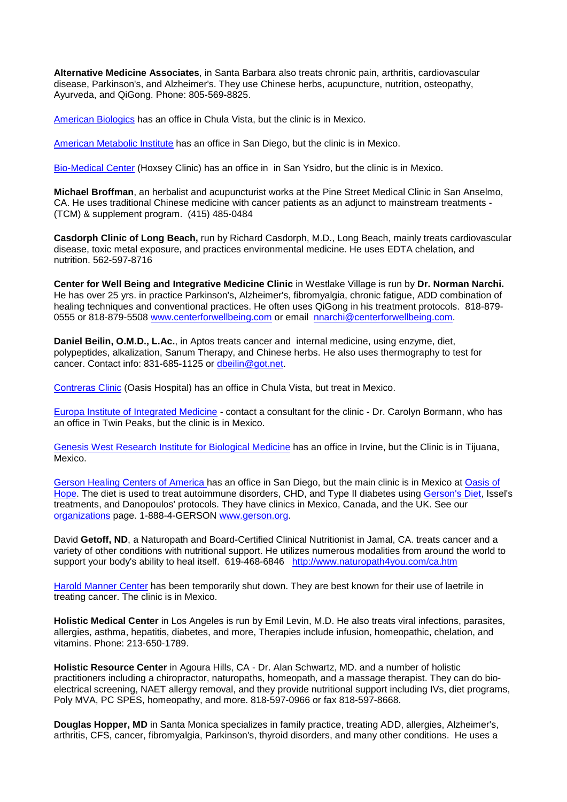**Alternative Medicine Associates**, in Santa Barbara also treats chronic pain, arthritis, cardiovascular disease, Parkinson's, and Alzheimer's. They use Chinese herbs, acupuncture, nutrition, osteopathy, Ayurveda, and QiGong. Phone: 805-569-8825.

[American Biologics](http://www.cancure.org/american_biologic.htm) has an office in Chula Vista, but the clinic is in Mexico.

[American Metabolic Institute](http://www.cancure.org/american_metabolic.htm) has an office in San Diego, but the clinic is in Mexico.

[Bio-Medical Center](http://www.cancure.org/hoxsey_clinic.htm) (Hoxsey Clinic) has an office in in San Ysidro, but the clinic is in Mexico.

**Michael Broffman**, an herbalist and acupuncturist works at the Pine Street Medical Clinic in San Anselmo, CA. He uses traditional Chinese medicine with cancer patients as an adjunct to mainstream treatments - (TCM) & supplement program. (415) 485-0484

**Casdorph Clinic of Long Beach,** run by Richard Casdorph, M.D., Long Beach, mainly treats cardiovascular disease, toxic metal exposure, and practices environmental medicine. He uses EDTA chelation, and nutrition. 562-597-8716

**Center for Well Being and Integrative Medicine Clinic** in Westlake Village is run by **Dr. Norman Narchi.**  He has over 25 yrs. in practice Parkinson's, Alzheimer's, fibromyalgia, chronic fatigue, ADD combination of healing techniques and conventional practices. He often uses QiGong in his treatment protocols. 818-879- 0555 or 818-879-5508 [www.centerforwellbeing.com](http://www.centerforwellbeing.com/) or email [nnarchi@centerforwellbeing.com.](mailto:nnarchi@centerforwellbeing.com)

**Daniel Beilin, O.M.D., L.Ac.**, in Aptos treats cancer and internal medicine, using enzyme, diet, polypeptides, alkalization, Sanum Therapy, and Chinese herbs. He also uses thermography to test for cancer. Contact info: 831-685-1125 or [dbeilin@got.net.](mailto:dbeilin@got.net)

[Contreras Clinic](http://www.cancure.org/oasis_hospital.htm) (Oasis Hospital) has an office in Chula Vista, but treat in Mexico.

[Europa Institute of Integrated Medicine](http://www.cancure.org/europa_clinic.htm) - contact a consultant for the clinic - Dr. Carolyn Bormann, who has an office in Twin Peaks, but the clinic is in Mexico.

[Genesis West Research Institute for Biological Medicine](http://www.cancure.org/directory_mexican_clinics.htm#Genesis) has an office in Irvine, but the Clinic is in Tijuana, Mexico.

[Gerson Healing Centers of America h](http://www.cancure.org/Gerson_Institute.htm)as an office in San Diego, but the main clinic is in Mexico at [Oasis of](http://www.cancure.org/oasis_hospital.htm)  [Hope.](http://www.cancure.org/oasis_hospital.htm) The diet is used to treat autoimmune disorders, CHD, and Type II diabetes using [Gerson's Diet,](http://www.cancure.org/Gerson_Institute.htm) Issel's treatments, and Danopoulos' protocols. They have clinics in Mexico, Canada, and the UK. See our [organizations](http://www.cancure.org/organizations_additional.htm) page. 1-888-4-GERSON [www.gerson.org.](http://www.gerson.org/)

David **Getoff, ND**, a Naturopath and Board-Certified Clinical Nutritionist in Jamal, CA. treats cancer and a variety of other conditions with nutritional support. He utilizes numerous modalities from around the world to support your body's ability to heal itself. 619-468-6846 <http://www.naturopath4you.com/ca.htm>

[Harold Manner Center](http://www.cancure.org/manner_clinic.htm) has been temporarily shut down. They are best known for their use of laetrile in treating cancer. The clinic is in Mexico.

**Holistic Medical Center** in Los Angeles is run by Emil Levin, M.D. He also treats viral infections, parasites, allergies, asthma, hepatitis, diabetes, and more, Therapies include infusion, homeopathic, chelation, and vitamins. Phone: 213-650-1789.

**Holistic Resource Center** in Agoura Hills, CA - Dr. Alan Schwartz, MD. and a number of holistic practitioners including a chiropractor, naturopaths, homeopath, and a massage therapist. They can do bioelectrical screening, NAET allergy removal, and they provide nutritional support including IVs, diet programs, Poly MVA, PC SPES, homeopathy, and more. 818-597-0966 or fax 818-597-8668.

**Douglas Hopper, MD** in Santa Monica specializes in family practice, treating ADD, allergies, Alzheimer's, arthritis, CFS, cancer, fibromyalgia, Parkinson's, thyroid disorders, and many other conditions. He uses a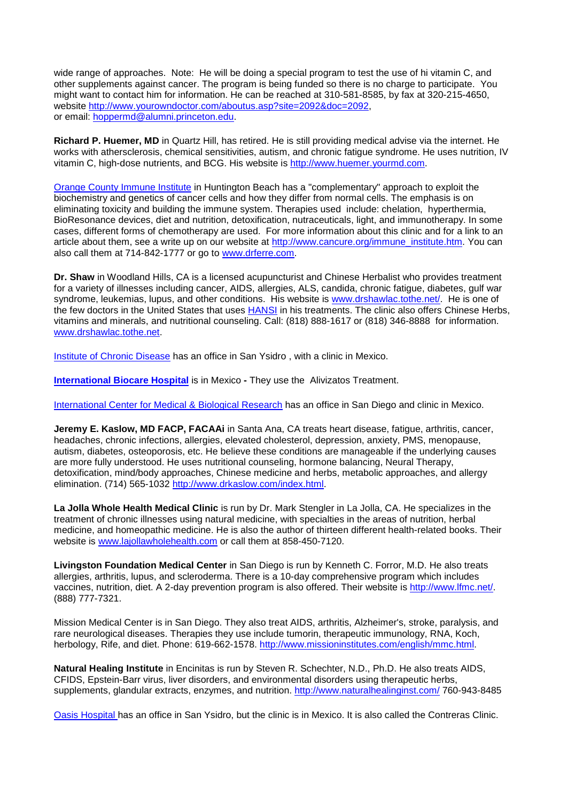wide range of approaches. Note: He will be doing a special program to test the use of hi vitamin C, and other supplements against cancer. The program is being funded so there is no charge to participate. You might want to contact him for information. He can be reached at 310-581-8585, by fax at 320-215-4650, website [http://www.yourowndoctor.com/aboutus.asp?site=2092&doc=2092,](http://www.yourowndoctor.com/aboutus.asp?site=2092&doc=2092) or email: [hoppermd@alumni.princeton.edu.](mailto:hoppermd@alumni.princeton.edu)

**Richard P. Huemer, MD** in Quartz Hill, has retired. He is still providing medical advise via the internet. He works with athersclerosis, chemical sensitivities, autism, and chronic fatigue syndrome. He uses nutrition, IV vitamin C, high-dose nutrients, and BCG. His website is [http://www.huemer.yourmd.com.](http://www.huemer.yourmd.com/)

[Orange County Immune Institute](http://www.cancure.org/immune_institute.htm) in Huntington Beach has a "complementary" approach to exploit the biochemistry and genetics of cancer cells and how they differ from normal cells. The emphasis is on eliminating toxicity and building the immune system. Therapies used include: chelation, hyperthermia, BioResonance devices, diet and nutrition, detoxification, nutraceuticals, light, and immunotherapy. In some cases, different forms of chemotherapy are used. For more information about this clinic and for a link to an article about them, see a write up on our website at http://www.cancure.org/immune\_institute.htm. You can also call them at 714-842-1777 or go to [www.drferre.com.](http://www.drferre.com/)

**Dr. Shaw** in Woodland Hills, CA is a licensed acupuncturist and Chinese Herbalist who provides treatment for a variety of illnesses including cancer, AIDS, allergies, ALS, candida, chronic fatigue, diabetes, gulf war syndrome, leukemias, lupus, and other conditions. His website is [www.drshawlac.tothe.net/.](http://www.drshawlac.tothe.net/) He is one of the few doctors in the United States that uses [HANSI](http://www.cancure.org/hansi.htm) in his treatments. The clinic also offers Chinese Herbs. vitamins and minerals, and nutritional counseling. Call: (818) 888-1617 or (818) 346-8888 for information. [www.drshawlac.tothe.net.](http://www.drshawlac.tothe.net/)

[Institute of Chronic Disease](http://www.cancure.org/directory_mexican_clinics.htm) has an office in San Ysidro , with a clinic in Mexico.

**[International Biocare Hospital](http://www.cancure.org/international_bio_care_hospital.htm)** is in Mexico **-** They use the Alivizatos Treatment.

[International Center for Medical & Biological Research](http://www.cancure.org/directory_mexican_clinics.htm) has an office in San Diego and clinic in Mexico.

**Jeremy E. Kaslow, MD FACP, FACAAi** in Santa Ana, CA treats heart disease, fatigue, arthritis, cancer, headaches, chronic infections, allergies, elevated cholesterol, depression, anxiety, PMS, menopause, autism, diabetes, osteoporosis, etc. He believe these conditions are manageable if the underlying causes are more fully understood. He uses nutritional counseling, hormone balancing, Neural Therapy, detoxification, mind/body approaches, Chinese medicine and herbs, metabolic approaches, and allergy elimination. (714) 565-1032 [http://www.drkaslow.com/index.html.](http://www.drkaslow.com/index.html)

**La Jolla Whole Health Medical Clinic** is run by Dr. Mark Stengler in La Jolla, CA. He specializes in the treatment of chronic illnesses using natural medicine, with specialties in the areas of nutrition, herbal medicine, and homeopathic medicine. He is also the author of thirteen different health-related books. Their website is [www.lajollawholehealth.com](http://www.lajollawholehealth.com/) or call them at 858-450-7120.

**Livingston Foundation Medical Center** in San Diego is run by Kenneth C. Forror, M.D. He also treats allergies, arthritis, lupus, and scleroderma. There is a 10-day comprehensive program which includes vaccines, nutrition, diet. A 2-day prevention program is also offered. Their website is [http://www.lfmc.net/.](http://www.lfmc.net/) (888) 777-7321.

Mission Medical Center is in San Diego. They also treat AIDS, arthritis, Alzheimer's, stroke, paralysis, and rare neurological diseases. Therapies they use include tumorin, therapeutic immunology, RNA, Koch, herbology, Rife, and diet. Phone: 619-662-1578. [http://www.missioninstitutes.com/english/mmc.html.](http://www.missioninstitutes.com/english/mmc.html)

**Natural Healing Institute** in Encinitas is run by Steven R. Schechter, N.D., Ph.D. He also treats AIDS, CFIDS, Epstein-Barr virus, liver disorders, and environmental disorders using therapeutic herbs, supplements, glandular extracts, enzymes, and nutrition.<http://www.naturalhealinginst.com/> 760-943-8485

[Oasis Hospital h](http://www.cancure.org/oasis_hospital.htm)as an office in San Ysidro, but the clinic is in Mexico. It is also called the Contreras Clinic.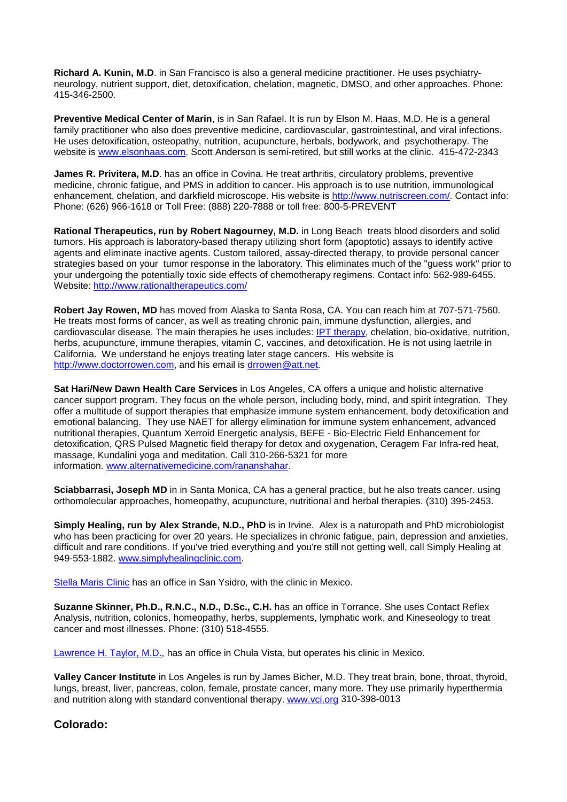**Richard A. Kunin, M.D**. in San Francisco is also a general medicine practitioner. He uses psychiatryneurology, nutrient support, diet, detoxification, chelation, magnetic, DMSO, and other approaches. Phone: 415-346-2500.

**Preventive Medical Center of Marin**, is in San Rafael. It is run by Elson M. Haas, M.D. He is a general family practitioner who also does preventive medicine, cardiovascular, gastrointestinal, and viral infections. He uses detoxification, osteopathy, nutrition, acupuncture, herbals, bodywork, and psychotherapy. The website is [www.elsonhaas.com.](http://www.elsonhaas.com/) Scott Anderson is semi-retired, but still works at the clinic. 415-472-2343

**James R. Privitera, M.D.** has an office in Covina. He treat arthritis, circulatory problems, preventive medicine, chronic fatigue, and PMS in addition to cancer. His approach is to use nutrition, immunological enhancement, chelation, and darkfield microscope. His website is [http://www.nutriscreen.com/.](http://www.nutriscreen.com/) Contact info: Phone: (626) 966-1618 or Toll Free: (888) 220-7888 or toll free: 800-5-PREVENT

**Rational Therapeutics, run by Robert Nagourney, M.D.** in Long Beach treats blood disorders and solid tumors. His approach is laboratory-based therapy utilizing short form (apoptotic) assays to identify active agents and eliminate inactive agents. Custom tailored, assay-directed therapy, to provide personal cancer strategies based on your tumor response in the laboratory. This eliminates much of the "guess work" prior to your undergoing the potentially toxic side effects of chemotherapy regimens. Contact info: 562-989-6455. Website:<http://www.rationaltherapeutics.com/>

**Robert Jay Rowen, MD** has moved from Alaska to Santa Rosa, CA. You can reach him at 707-571-7560. He treats most forms of cancer, as well as treating chronic pain, immune dysfunction, allergies, and cardiovascular disease. The main therapies he uses includes: [IPT therapy,](http://www.cancure.org/insulin_potentiation_therapy.htm) chelation, bio-oxidative, nutrition, herbs, acupuncture, immune therapies, vitamin C, vaccines, and detoxification. He is not using laetrile in California. We understand he enjoys treating later stage cancers. His website is [http://www.doctorrowen.com,](http://www.doctorrowen.com/) and his email is [drrowen@att.net.](mailto:drrowen@att.net)

**Sat Hari/New Dawn Health Care Services** in Los Angeles, CA offers a unique and holistic alternative cancer support program. They focus on the whole person, including body, mind, and spirit integration. They offer a multitude of support therapies that emphasize immune system enhancement, body detoxification and emotional balancing. They use NAET for allergy elimination for immune system enhancement, advanced nutritional therapies, Quantum Xerroid Energetic analysis, BEFE - Bio-Electric Field Enhancement for detoxification, QRS Pulsed Magnetic field therapy for detox and oxygenation, Ceragem Far Infra-red heat, massage, Kundalini yoga and meditation. Call 310-266-5321 for more information. [www.alternativemedicine.com/rananshahar.](http://www.alternativemedicine.com/rananshahar)

**Sciabbarrasi, Joseph MD** in in Santa Monica, CA has a general practice, but he also treats cancer. using orthomolecular approaches, homeopathy, acupuncture, nutritional and herbal therapies. (310) 395-2453.

**Simply Healing, run by Alex Strande, N.D., PhD** is in Irvine. Alex is a naturopath and PhD microbiologist who has been practicing for over 20 years. He specializes in chronic fatigue, pain, depression and anxieties, difficult and rare conditions. If you've tried everything and you're still not getting well, call Simply Healing at 949-553-1882. [www.simplyhealingclinic.com.](http://www.simplyhealingclinic.com/)

[Stella Maris Clinic](http://www.cancure.org/stella_maris_clinic.htm) has an office in San Ysidro, with the clinic in Mexico.

**Suzanne Skinner, Ph.D., R.N.C., N.D., D.Sc., C.H.** has an office in Torrance. She uses Contact Reflex Analysis, nutrition, colonics, homeopathy, herbs, supplements, lymphatic work, and Kineseology to treat cancer and most illnesses. Phone: (310) 518-4555.

[Lawrence H. Taylor, M.D.,](http://www.cancure.org/dr_lawrence_taylor.htm) has an office in Chula Vista, but operates his clinic in Mexico.

**Valley Cancer Institute** in Los Angeles is run by James Bicher, M.D. They treat brain, bone, throat, thyroid, lungs, breast, liver, pancreas, colon, female, prostate cancer, many more. They use primarily hyperthermia and nutrition along with standard conventional therapy. [www.vci.org](http://www.vci.org/) 310-398-0013

## **Colorado:**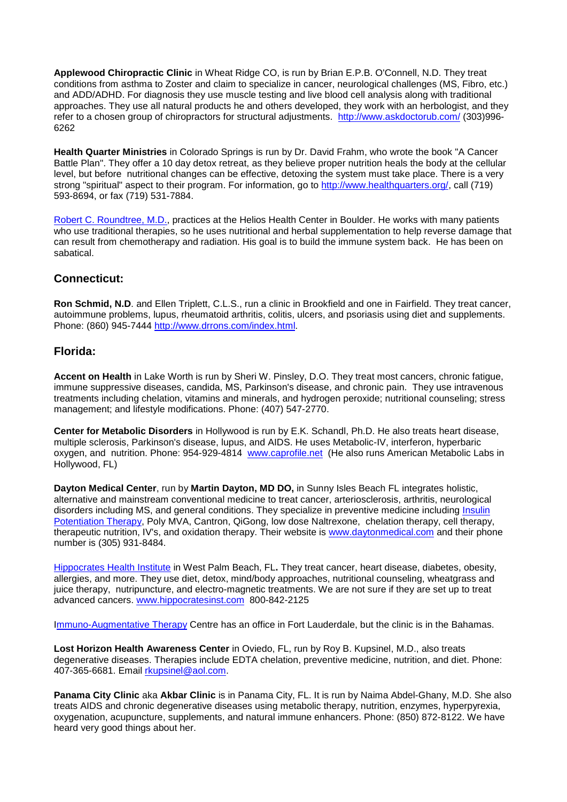**Applewood Chiropractic Clinic** in Wheat Ridge CO, is run by Brian E.P.B. O'Connell, N.D. They treat conditions from asthma to Zoster and claim to specialize in cancer, neurological challenges (MS, Fibro, etc.) and ADD/ADHD. For diagnosis they use muscle testing and live blood cell analysis along with traditional approaches. They use all natural products he and others developed, they work with an herbologist, and they refer to a chosen group of chiropractors for structural adjustments. <http://www.askdoctorub.com/> (303)996- 6262

**Health Quarter Ministries** in Colorado Springs is run by Dr. David Frahm, who wrote the book "A Cancer Battle Plan". They offer a 10 day detox retreat, as they believe proper nutrition heals the body at the cellular level, but before nutritional changes can be effective, detoxing the system must take place. There is a very strong "spiritual" aspect to their program. For information, go to [http://www.healthquarters.org/,](http://www.healthquarters.org/) call (719) 593-8694, or fax (719) 531-7884.

[Robert C. Roundtree, M.D.,](http://www.cancure.org/dr_rountree.htm) practices at the Helios Health Center in Boulder. He works with many patients who use traditional therapies, so he uses nutritional and herbal supplementation to help reverse damage that can result from chemotherapy and radiation. His goal is to build the immune system back. He has been on sabatical.

### **Connecticut:**

**Ron Schmid, N.D**. and Ellen Triplett, C.L.S., run a clinic in Brookfield and one in Fairfield. They treat cancer, autoimmune problems, lupus, rheumatoid arthritis, colitis, ulcers, and psoriasis using diet and supplements. Phone: (860) 945-7444 [http://www.drrons.com/index.html.](http://www.drrons.com/index.html)

#### **Florida:**

**Accent on Health** in Lake Worth is run by Sheri W. Pinsley, D.O. They treat most cancers, chronic fatigue, immune suppressive diseases, candida, MS, Parkinson's disease, and chronic pain. They use intravenous treatments including chelation, vitamins and minerals, and hydrogen peroxide; nutritional counseling; stress management; and lifestyle modifications. Phone: (407) 547-2770.

**Center for Metabolic Disorders** in Hollywood is run by E.K. Schandl, Ph.D. He also treats heart disease, multiple sclerosis, Parkinson's disease, lupus, and AIDS. He uses Metabolic-IV, interferon, hyperbaric oxygen, and nutrition. Phone: 954-929-4814 [www.caprofile.net](http://www.caprofile.net/) (He also runs American Metabolic Labs in Hollywood, FL)

**Dayton Medical Center**, run by **Martin Dayton, MD DO,** in Sunny Isles Beach FL integrates holistic, alternative and mainstream conventional medicine to treat cancer, arteriosclerosis, arthritis, neurological disorders including MS, and general conditions. They specialize in preventive medicine including Insulin [Potentiation Therapy,](http://www.cancure.org/insulin_potentiation_therapy.htm) Poly MVA, Cantron, QiGong, low dose Naltrexone, chelation therapy, cell therapy, therapeutic nutrition, IV's, and oxidation therapy. Their website is [www.daytonmedical.com](http://www.daytonmedical.com/) and their phone number is (305) 931-8484.

[Hippocrates Health Institute](http://www.cancure.org/hippocrates_health_institute.htm) in West Palm Beach, FL**.** They treat cancer, heart disease, diabetes, obesity, allergies, and more. They use diet, detox, mind/body approaches, nutritional counseling, wheatgrass and juice therapy, nutripuncture, and electro-magnetic treatments. We are not sure if they are set up to treat advanced cancers. [www.hippocratesinst.com](http://www.hippocratesinst.com/) 800-842-2125

[Immuno-Augmentative Therapy](http://www.cancure.org/iat_clinic.htm) Centre has an office in Fort Lauderdale, but the clinic is in the Bahamas.

**Lost Horizon Health Awareness Center** in Oviedo, FL, run by Roy B. Kupsinel, M.D., also treats degenerative diseases. Therapies include EDTA chelation, preventive medicine, nutrition, and diet. Phone: 407-365-6681. Email [rkupsinel@aol.com.](mailto:rkupsinel@aol.com)

**Panama City Clinic** aka **Akbar Clinic** is in Panama City, FL. It is run by Naima Abdel-Ghany, M.D. She also treats AIDS and chronic degenerative diseases using metabolic therapy, nutrition, enzymes, hyperpyrexia, oxygenation, acupuncture, supplements, and natural immune enhancers. Phone: (850) 872-8122. We have heard very good things about her.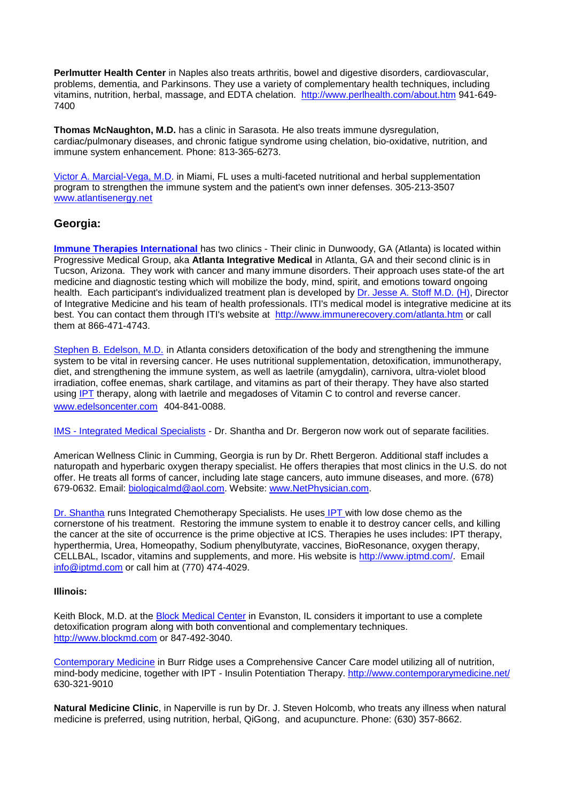**Perlmutter Health Center** in Naples also treats arthritis, bowel and digestive disorders, cardiovascular, problems, dementia, and Parkinsons. They use a variety of complementary health techniques, including vitamins, nutrition, herbal, massage, and EDTA chelation. <http://www.perlhealth.com/about.htm> 941-649- 7400

**Thomas McNaughton, M.D.** has a clinic in Sarasota. He also treats immune dysregulation, cardiac/pulmonary diseases, and chronic fatigue syndrome using chelation, bio-oxidative, nutrition, and immune system enhancement. Phone: 813-365-6273.

[Victor A. Marcial-Vega, M.D.](http://www.cancure.org/dr_marcial_vega.htm) in Miami, FL uses a multi-faceted nutritional and herbal supplementation program to strengthen the immune system and the patient's own inner defenses. 305-213-3507 [www.atlantisenergy.net](http://www.atlantisenergy.net/)

### **Georgia:**

**[Immune Therapies International](http://www.cancure.org/immune_therapies_international.htm) has two clinics - Their clinic in Dunwoody, GA (Atlanta) is located within** Progressive Medical Group, aka **Atlanta Integrative Medical** in Atlanta, GA and their second clinic is in Tucson, Arizona. They work with cancer and many immune disorders. Their approach uses state-of the art medicine and diagnostic testing which will mobilize the body, mind, spirit, and emotions toward ongoing health. Each participant's individualized treatment plan is developed by [Dr. Jesse A. Stoff M.D. \(H\),](http://www.immunerecovery.com/drstoff.htm) Director of Integrative Medicine and his team of health professionals. ITI's medical model is integrative medicine at its best. You can contact them through ITI's website at <http://www.immunerecovery.com/atlanta.htm> or call them at 866-471-4743.

[Stephen B. Edelson, M.D.](http://www.cancure.org/edelson_center.htm) in Atlanta considers detoxification of the body and strengthening the immune system to be vital in reversing cancer. He uses nutritional supplementation, detoxification, immunotherapy, diet, and strengthening the immune system, as well as laetrile (amygdalin), carnivora, ultra-violet blood irradiation, coffee enemas, shark cartilage, and vitamins as part of their therapy. They have also started using [IPT](http://www.cancure.org/insulin_potentiation_therapy.htm) therapy, along with laetrile and megadoses of Vitamin C to control and reverse cancer. [www.edelsoncenter.com](http://www.edelsoncenter.com/) 404-841-0088.

IMS - [Integrated Medical Specialists](http://www.cancure.org/integrated_medical_specialists.htm) - Dr. Shantha and Dr. Bergeron now work out of separate facilities.

American Wellness Clinic in Cumming, Georgia is run by Dr. Rhett Bergeron. Additional staff includes a naturopath and hyperbaric oxygen therapy specialist. He offers therapies that most clinics in the U.S. do not offer. He treats all forms of cancer, including late stage cancers, auto immune diseases, and more. (678) 679-0632. Email: [biologicalmd@aol.com.](mailto:biologicalmd@aol.com) Website: [www.NetPhysician.com.](http://www.netphysician.com/)

[Dr. Shantha](http://www.cancure.org/dr_shantha.htm) runs Integrated Chemotherapy Specialists. He uses [IPT w](http://www.cancure.org/insulin_potentiation_therapy.htm)ith low dose chemo as the cornerstone of his treatment. Restoring the immune system to enable it to destroy cancer cells, and killing the cancer at the site of occurrence is the prime objective at ICS. Therapies he uses includes: IPT therapy, hyperthermia, Urea, Homeopathy, Sodium phenylbutyrate, vaccines, BioResonance, oxygen therapy, CELLBAL, Iscador, vitamins and supplements, and more. His website is [http://www.iptmd.com/.](http://www.iptmd.com/) Email [info@iptmd.com](mailto:info@iptmd.com) or call him at (770) 474-4029.

#### **Illinois:**

Keith Block, M.D. at the **Block Medical Center** in Evanston, IL considers it important to use a complete detoxification program along with both conventional and complementary techniques. [http://www.blockmd.com](http://www.blockmd.com/) or 847-492-3040.

[Contemporary Medicine](http://www.cancure.org/contemporary_medicine.htm) in Burr Ridge uses a Comprehensive Cancer Care model utilizing all of nutrition, mind-body medicine, together with IPT - Insulin Potentiation Therapy. <http://www.contemporarymedicine.net/> 630-321-9010

**Natural Medicine Clinic**, in Naperville is run by Dr. J. Steven Holcomb, who treats any illness when natural medicine is preferred, using nutrition, herbal, QiGong, and acupuncture. Phone: (630) 357-8662.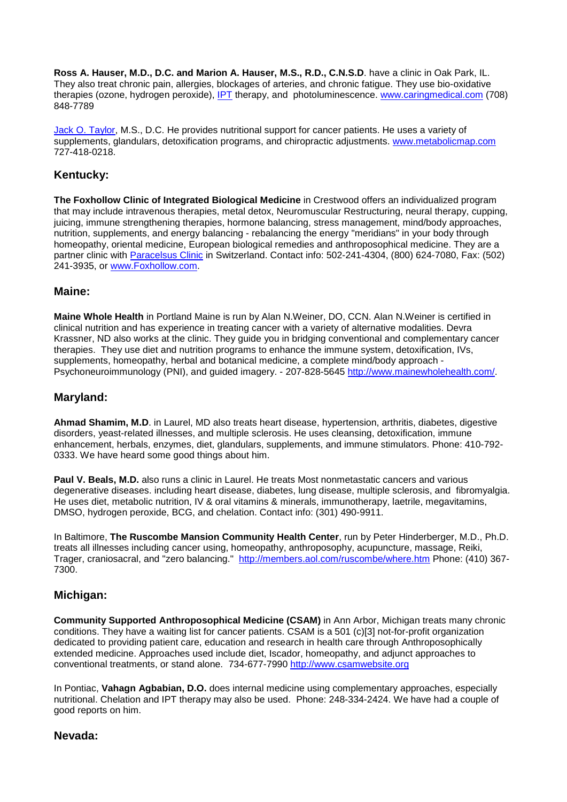**Ross A. Hauser, M.D., D.C. and Marion A. Hauser, M.S., R.D., C.N.S.D**. have a clinic in Oak Park, IL. They also treat chronic pain, allergies, blockages of arteries, and chronic fatigue. They use bio-oxidative therapies (ozone, hydrogen peroxide), [IPT](http://www.cancure.org/insulin_potentiation_therapy.htm) therapy, and photoluminescence. [www.caringmedical.com](http://www.caringmedical.com/) (708) 848-7789

[Jack O. Taylor,](http://www.cancure.org/Dr_taylors_wellness_center.htm) M.S., D.C. He provides nutritional support for cancer patients. He uses a variety of supplements, glandulars, detoxification programs, and chiropractic adjustments. [www.metabolicmap.com](http://www.metabolicmap.com/) 727-418-0218.

### **Kentucky:**

**The Foxhollow Clinic of Integrated Biological Medicine** in Crestwood offers an individualized program that may include intravenous therapies, metal detox, Neuromuscular Restructuring, neural therapy, cupping, juicing, immune strengthening therapies, hormone balancing, stress management, mind/body approaches, nutrition, supplements, and energy balancing - rebalancing the energy "meridians" in your body through homeopathy, oriental medicine, European biological remedies and anthroposophical medicine. They are a partner clinic with [Paracelsus Clinic](http://www.cancure.org/paracelsus_clinic.htm) in Switzerland. Contact info: 502-241-4304, (800) 624-7080, Fax: (502) 241-3935, or [www.Foxhollow.com.](http://www.foxhollow.com/) 

#### **Maine:**

**Maine Whole Health** in Portland Maine is run by Alan N.Weiner, DO, CCN. Alan N.Weiner is certified in clinical nutrition and has experience in treating cancer with a variety of alternative modalities. Devra Krassner, ND also works at the clinic. They guide you in bridging conventional and complementary cancer therapies. They use diet and nutrition programs to enhance the immune system, detoxification, IVs, supplements, homeopathy, herbal and botanical medicine, a complete mind/body approach - Psychoneuroimmunology (PNI), and guided imagery. - 207-828-5645 [http://www.mainewholehealth.com/.](http://www.mainewholehealth.com/)

### **Maryland:**

**Ahmad Shamim, M.D**. in Laurel, MD also treats heart disease, hypertension, arthritis, diabetes, digestive disorders, yeast-related illnesses, and multiple sclerosis. He uses cleansing, detoxification, immune enhancement, herbals, enzymes, diet, glandulars, supplements, and immune stimulators. Phone: 410-792- 0333. We have heard some good things about him.

**Paul V. Beals, M.D.** also runs a clinic in Laurel. He treats Most nonmetastatic cancers and various degenerative diseases. including heart disease, diabetes, lung disease, multiple sclerosis, and fibromyalgia. He uses diet, metabolic nutrition, IV & oral vitamins & minerals, immunotherapy, laetrile, megavitamins, DMSO, hydrogen peroxide, BCG, and chelation. Contact info: (301) 490-9911.

In Baltimore, **The Ruscombe Mansion Community Health Center**, run by Peter Hinderberger, M.D., Ph.D. treats all illnesses including cancer using, homeopathy, anthroposophy, acupuncture, massage, Reiki, Trager, craniosacral, and "zero balancing." <http://members.aol.com/ruscombe/where.htm> Phone: (410) 367- 7300.

#### **Michigan:**

**Community Supported Anthroposophical Medicine (CSAM)** in Ann Arbor, Michigan treats many chronic conditions. They have a waiting list for cancer patients. CSAM is a 501 (c)[3] not-for-profit organization dedicated to providing patient care, education and research in health care through Anthroposophically extended medicine. Approaches used include diet, Iscador, homeopathy, and adjunct approaches to conventional treatments, or stand alone. 734-677-7990 [http://www.csamwebsite.org](http://www.csamwebsite.org/)

In Pontiac, **Vahagn Agbabian, D.O.** does internal medicine using complementary approaches, especially nutritional. Chelation and IPT therapy may also be used. Phone: 248-334-2424. We have had a couple of good reports on him.

#### **Nevada:**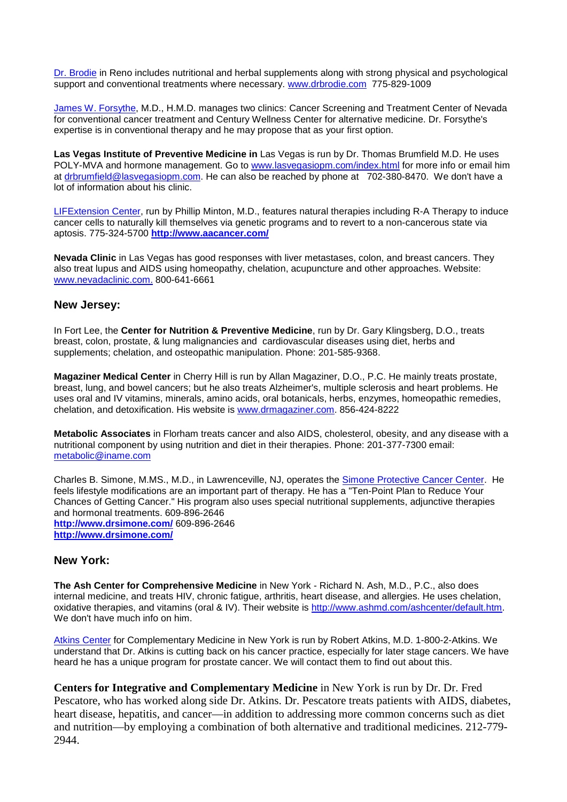[Dr. Brodie](http://www.cancure.org/dr_brodie.htm) in Reno includes nutritional and herbal supplements along with strong physical and psychological support and conventional treatments where necessary. [www.drbrodie.com](http://www.drbrodie.com/) 775-829-1009

[James W. Forsythe,](http://www.cancure.org/dr_forsythe.htm) M.D., H.M.D. manages two clinics: Cancer Screening and Treatment Center of Nevada for conventional cancer treatment and Century Wellness Center for alternative medicine. Dr. Forsythe's expertise is in conventional therapy and he may propose that as your first option.

**Las Vegas Institute of Preventive Medicine in** Las Vegas is run by Dr. Thomas Brumfield M.D. He uses POLY-MVA and hormone management. Go to [www.lasvegasiopm.com/index.html](http://www.lasvegasiopm.com/index.html) for more info or email him at [drbrumfield@lasvegasiopm.com.](mailto:drbrumfield@lasvegasiopm.com) He can also be reached by phone at 702-380-8470. We don't have a lot of information about his clinic.

[LIFExtension Center,](http://www.cancure.org/LIFEextension_center.htm) run by Phillip Minton, M.D., features natural therapies including R-A Therapy to induce cancer cells to naturally kill themselves via genetic programs and to revert to a non-cancerous state via aptosis. 775-324-5700 **[http://www.aacancer.com/](http://www.lifextensiondoctor.com/)**

**Nevada Clinic** in Las Vegas has good responses with liver metastases, colon, and breast cancers. They also treat lupus and AIDS using homeopathy, chelation, acupuncture and other approaches. Website: [www.nevadaclinic.com.](http://www.nevadaclinic.com/) 800-641-6661

#### **New Jersey:**

In Fort Lee, the **Center for Nutrition & Preventive Medicine**, run by Dr. Gary Klingsberg, D.O., treats breast, colon, prostate, & lung malignancies and cardiovascular diseases using diet, herbs and supplements; chelation, and osteopathic manipulation. Phone: 201-585-9368.

**Magaziner Medical Center** in Cherry Hill is run by Allan Magaziner, D.O., P.C. He mainly treats prostate, breast, lung, and bowel cancers; but he also treats Alzheimer's, multiple sclerosis and heart problems. He uses oral and IV vitamins, minerals, amino acids, oral botanicals, herbs, enzymes, homeopathic remedies, chelation, and detoxification. His website is [www.drmagaziner.com.](http://www.drmagaziner.com/) 856-424-8222

**Metabolic Associates** in Florham treats cancer and also AIDS, cholesterol, obesity, and any disease with a nutritional component by using nutrition and diet in their therapies. Phone: 201-377-7300 email: [metabolic@iname.com](mailto:metabolic@iname.com)

Charles B. Simone, M.MS., M.D., in Lawrenceville, NJ, operates the [Simone Protective Cancer Center.](http://www.cancure.org/dr_simone.htm) He feels lifestyle modifications are an important part of therapy. He has a "Ten-Point Plan to Reduce Your Chances of Getting Cancer." His program also uses special nutritional supplements, adjunctive therapies and hormonal treatments. 609-896-2646 **<http://www.drsimone.com/>** 609-896-2646 **<http://www.drsimone.com/>**

## **New York:**

**The Ash Center for Comprehensive Medicine** in New York - Richard N. Ash, M.D., P.C., also does internal medicine, and treats HIV, chronic fatigue, arthritis, heart disease, and allergies. He uses chelation, oxidative therapies, and vitamins [\(oral & IV\). Their website is](http://www.ashmd.com/) [http://www.ashmd.com/ashcenter/default.htm.](http://www.ashmd.com/ashcenter/default.htm) [We don](http://www.ashmd.com/)'[t have much info on him.](http://www.ashmd.com/) 

[Atkins Center](http://www.cancure.org/dr_atkins_clinic.htm) for Complementary Medicine in New York is run by Robert Atkins, M.D. 1-800-2-Atkins. We understand that Dr. Atkins is cutting back on his cancer practice, especially for later stage cancers. We have heard he has a unique program for prostate cancer. We will contact them to find out about this.

**Centers for Integrative and Complementary Medicine** in New York is run by Dr. Dr. Fred Pescatore, who has worked along side Dr. Atkins. Dr. Pescatore treats patients with AIDS, diabetes, heart disease, hepatitis, and cancer—in addition to addressing more common concerns such as diet and nutrition—by employing a combination of both alternative and traditional medicines. 212-779- 2944.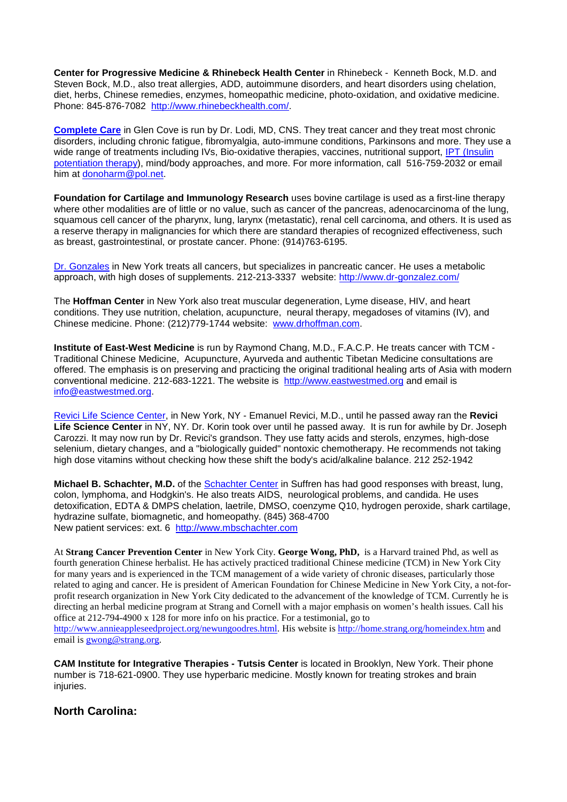**Center for Progressive Medicine & Rhinebeck Health Center** in Rhinebeck - Kenneth Bock, M.D. and Steven Bock, M.D., also treat allergies, ADD, autoimmune disorders, and heart disorders using chelation, diet, herbs, Chinese remedies, enzymes, homeopathic medicine, photo-oxidation, and oxidative medicine. Phone: 845-876-7082 [http://www.rhinebeckhealth.com/.](http://www.rhinebeckhealth.com/)

**[Complete Care](http://www.cancure.org/complete_care.htm)** in Glen Cove is run by Dr. Lodi, MD, CNS. They treat cancer and they treat most chronic disorders, including chronic fatigue, fibromyalgia, auto-immune conditions, Parkinsons and more. They use a wide range of treatments including IVs, Bio-oxidative therapies, vaccines, nutritional support, IPT (Insulin [potentiation therapy\)](http://www.cancure.org/insulin_potentiation_therapy.htm), mind/body approaches, and more. For more information, call 516-759-2032 or email him at [donoharm@pol.net.](mailto:donoharm@pol.net)

**Foundation for Cartilage and Immunology Research** uses bovine cartilage is used as a first-line therapy where other modalities are of little or no value, such as cancer of the pancreas, adenocarcinoma of the lung, squamous cell cancer of the pharynx, lung, larynx (metastatic), renal cell carcinoma, and others. It is used as a reserve therapy in malignancies for which there are standard therapies of recognized effectiveness, such as breast, gastrointestinal, or prostate cancer. Phone: (914)763-6195.

[Dr. Gonzales](http://www.cancure.org/gonzales_clinic.htm) in New York treats all cancers, but specializes in pancreatic cancer. He uses a metabolic approach, with high doses of supplements. 212-213-3337 website:<http://www.dr-gonzalez.com/>

The **Hoffman Center** in New York also treat muscular degeneration, Lyme disease, HIV, and heart conditions. They use nutrition, chelation, acupuncture, neural therapy, megadoses of vitamins (IV), and Chinese medicine. Phone: (212)779-1744 website: [www.drhoffman.com.](http://www.drhoffman.com/)

**Institute of East-West Medicine** is run by Raymond Chang, M.D., F.A.C.P. He treats cancer with TCM - Traditional Chinese Medicine, Acupuncture, Ayurveda and authentic Tibetan Medicine consultations are offered. The emphasis is on preserving and practicing the original traditional healing arts of Asia with modern conventional medicine. 212-683-1221. The website is [http://www.eastwestmed.org](http://www.eastwestmed.org/) and email is [info@eastwestmed.org.](mailto:info@eastwestmed.org)

[Revici Life Science Center,](http://www.cancure.org/revici_life_science_center.htm) in New York, NY - Emanuel Revici, M.D., until he passed away ran the **Revici Life Science Center** in NY, NY. Dr. Korin took over until he passed away. It is run for awhile by Dr. Joseph Carozzi. It may now run by Dr. Revici's grandson. They use fatty acids and sterols, enzymes, high-dose selenium, dietary changes, and a "biologically guided" nontoxic chemotherapy. He recommends not taking high dose vitamins without checking how these shift the body's acid/alkaline balance. 212 252-1942

**Michael B. Schachter, M.D.** of the [Schachter Center](http://www.cancure.org/schachter_center.htm) in Suffren has had good responses with breast, lung, colon, lymphoma, and Hodgkin's. He also treats AIDS, neurological problems, and candida. He uses detoxification, EDTA & DMPS chelation, laetrile, DMSO, coenzyme Q10, hydrogen peroxide, shark cartilage, hydrazine sulfate, biomagnetic, and homeopathy. (845) 368-4700 New patient services: ext. 6 [http://www.mbschachter.com](http://www.mbschachter.com/)

At **Strang Cancer Prevention Center** in New York City. **George Wong, PhD,** is a Harvard trained Phd, as well as fourth generation Chinese herbalist. He has actively practiced traditional Chinese medicine (TCM) in New York City for many years and is experienced in the TCM management of a wide variety of chronic diseases, particularly those related to aging and cancer. He is president of American Foundation for Chinese Medicine in New York City, a not-forprofit research organization in New York City dedicated to the advancement of the knowledge of TCM. Currently he is directing an herbal medicine program at Strang and Cornell with a major emphasis on women's health issues. Call his office at 212-794-4900 x 128 for more info on his practice. For a testimonial, go to [http://www.annieappleseedproject.org/newungoodres.html.](http://www.annieappleseedproject.org/newungoodres.html) His website is<http://home.strang.org/homeindex.htm> and email is [gwong@strang.org.](mailto:gwong@strang.org)

**CAM Institute for Integrative Therapies - Tutsis Center** is located in Brooklyn, New York. Their phone number is 718-621-0900. They use hyperbaric medicine. Mostly known for treating strokes and brain injuries.

#### **North Carolina:**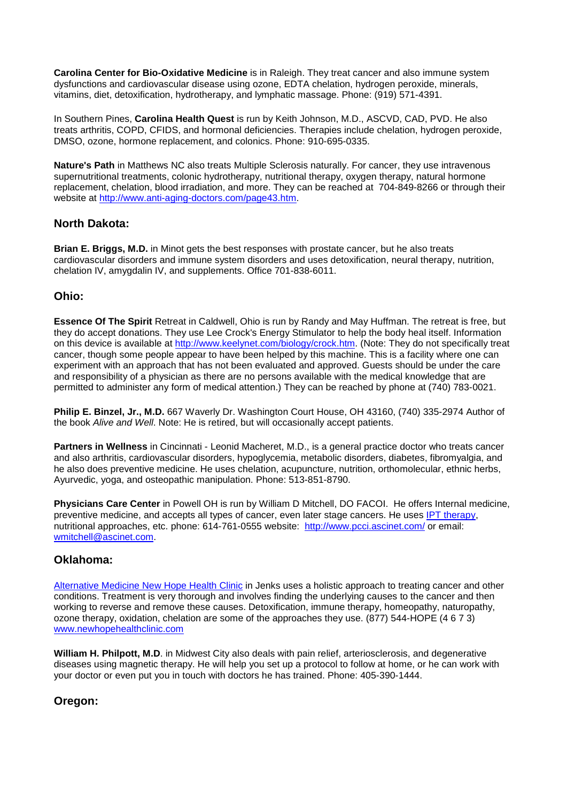**Carolina Center for Bio-Oxidative Medicine** is in Raleigh. They treat cancer and also immune system dysfunctions and cardiovascular disease using ozone, EDTA chelation, hydrogen peroxide, minerals, vitamins, diet, detoxification, hydrotherapy, and lymphatic massage. Phone: (919) 571-4391.

In Southern Pines, **Carolina Health Quest** is run by Keith Johnson, M.D., ASCVD, CAD, PVD. He also treats arthritis, COPD, CFIDS, and hormonal deficiencies. Therapies include chelation, hydrogen peroxide, DMSO, ozone, hormone replacement, and colonics. Phone: 910-695-0335.

**Nature's Path** in Matthews NC also treats Multiple Sclerosis naturally. For cancer, they use intravenous supernutritional treatments, colonic hydrotherapy, nutritional therapy, oxygen therapy, natural hormone replacement, chelation, blood irradiation, and more. They can be reached at 704-849-8266 or through their website at [http://www.anti-aging-doctors.com/page43.htm.](http://www.anti-aging-doctors.com/page43.htm)

## **North Dakota:**

**Brian E. Briggs, M.D.** in Minot gets the best responses with prostate cancer, but he also treats cardiovascular disorders and immune system disorders and uses detoxification, neural therapy, nutrition, chelation IV, amygdalin IV, and supplements. Office 701-838-6011.

#### **Ohio:**

**Essence Of The Spirit** Retreat in Caldwell, Ohio is run by Randy and May Huffman. The retreat is free, but they do accept donations. They use Lee Crock's Energy Stimulator to help the body heal itself. Information on this device is available at [http://www.keelynet.com/biology/crock.htm.](http://www.keelynet.com/biology/crock.htm) (Note: They do not specifically treat cancer, though some people appear to have been helped by this machine. This is a facility where one can experiment with an approach that has not been evaluated and approved. Guests should be under the care and responsibility of a physician as there are no persons available with the medical knowledge that are permitted to administer any form of medical attention.) They can be reached by phone at (740) 783-0021.

**Philip E. Binzel, Jr., M.D.** 667 Waverly Dr. Washington Court House, OH 43160, (740) 335-2974 Author of the book *Alive and Well*. Note: He is retired, but will occasionally accept patients.

**Partners in Wellness** in Cincinnati - Leonid Macheret, M.D., is a general practice doctor who treats cancer and also arthritis, cardiovascular disorders, hypoglycemia, metabolic disorders, diabetes, fibromyalgia, and he also does preventive medicine. He uses chelation, acupuncture, nutrition, orthomolecular, ethnic herbs, Ayurvedic, yoga, and osteopathic manipulation. Phone: 513-851-8790.

**Physicians Care Center** in Powell OH is run by William D Mitchell, DO FACOI. He offers Internal medicine, preventive medicine, and accepts all types of cancer, even later stage cancers. He uses [IPT therapy,](http://www.cancure.org/insulin_potentiation_therapy.htm) nutritional approaches, etc. phone: 614-761-0555 website: <http://www.pcci.ascinet.com/> or email: [wmitchell@ascinet.com.](mailto:wmitchell@ascinet.com)

#### **Oklahoma:**

[Alternative Medicine New Hope Health Clinic](http://www.cancure.org/new_hope_health_clinic.htm) in Jenks uses a holistic approach to treating cancer and other conditions. Treatment is very thorough and involves finding the underlying causes to the cancer and then working to reverse and remove these causes. Detoxification, immune therapy, homeopathy, naturop[athy,](http://www.newhopehealthclinic.com/)  ozone therapy, oxidation, chelation are some of the approaches they use. (877) 544-HOPE (4 6 7 3) [www.newhopehealthclinic.com](http://www.newhopehealthclinic.com/)

**William H. Philpott, M.D**. in Midwest City also deals with pain relief, arteriosclerosis, and degenerative diseases using magnetic therapy. He will help you set up a protocol to follow at home, or he can work with your doctor or even put you in touch with doctors he has trained. Phone: 405-390-1444.

## **Oregon:**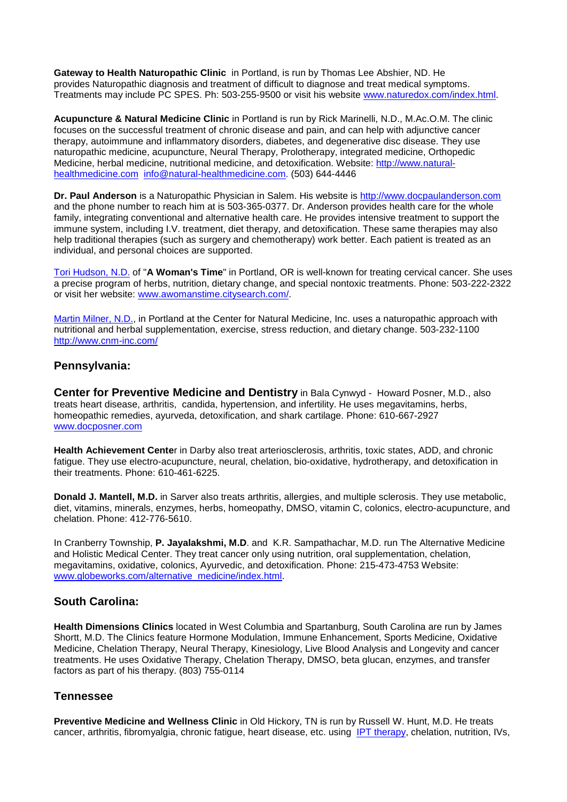**Gateway to Health Naturopathic Clinic** in Portland, is run by Thomas Lee Abshier, ND. He provides Naturopathic diagnosis and treatment of difficult to diagnose and treat medical symptoms. Treatments may include PC SPES. Ph: 503-255-9500 or visit his website [www.naturedox.com/index.html.](http://www.naturedox.com/index.html)

**Acupuncture & Natural Medicine Clinic** in Portland is run by Rick Marinelli, N.D., M.Ac.O.M. The clinic focuses on the successful treatment of chronic disease and pain, and can help with adjunctive cancer therapy, autoimmune and inflammatory disorders, diabetes, and degenerative disc disease. They use naturopathic medicine, acupuncture, Neural Therapy, Prolotherapy, integrated medicine, Orthopedic Medicine, herbal medicine, nutritional medicine, and detoxification. Website: [http://www.natural](http://www.natural-healthmedicine.com/)[healthmedicine.com](http://www.natural-healthmedicine.com/) [info@natural-healthmedicine.com.](mailto:info@natural-healthmedicine.com) (503) 644-4446

**Dr. Paul Anderson** is a Naturopathic Physician in Salem. His website is [http://www.docpaulanderson.com](http://www.docpaulanderson.com/) and the phone number to reach him at is 503-365-0377. Dr. Anderson provides health care for the whole family, integrating conventional and alternative health care. He provides intensive treatment to support the immune system, including I.V. treatment, diet therapy, and detoxification. These same therapies may also help traditional therapies (such as surgery and chemotherapy) work better. Each patient is treated as an individual, and personal choices are supported.

[Tori Hudson, N.D.](http://www.cancure.org/tori_hudson_nd.htm) of "**A Woman's Time**" in Portland, OR is well-known for treating cervical cancer. She uses a precise program of herbs, nutrition, dietary change, and special nontoxic treatments. Phone: 503-222-2322 or visit her website: [www.awomanstime.citysearch.com/.](http://www.awomanstime.citysearch.com/)

[Martin Milner, N.D.,](http://www.cancure.org/dr_milner.htm) in Portland at the Center for Natural Medicine, Inc. uses a naturopathic approach with nutritional and herbal supplementation, exercise, stress reduction, and dietary change. 503-232-1100 <http://www.cnm-inc.com/>

#### **Pennsylvania:**

**Center for Preventive Medicine and Dentistry** in Bala Cynwyd - Howard Posner, M.D., also treats heart disease, arthritis, candida, hypertension, and infertility. He uses megavitamins, herbs, homeopathic remedies, ayurveda, detoxification, and shark cartilage. Phone: 610-667-2927 [www.docposner.com](http://www.docposner.com/)

**Health Achievement Cente**r in Darby also treat arteriosclerosis, arthritis, toxic states, ADD, and chronic fatigue. They use electro-acupuncture, neural, chelation, bio-oxidative, hydrotherapy, and detoxification in their treatments. Phone: 610-461-6225.

**Donald J. Mantell, M.D.** in Sarver also treats arthritis, allergies, and multiple sclerosis. They use metabolic, diet, vitamins, minerals, enzymes, herbs, homeopathy, DMSO, vitamin C, colonics, electro-acupuncture, and chelation. Phone: 412-776-5610.

In Cranberry Township, **P. Jayalakshmi, M.D**. and K.R. Sampathachar, M.D. run The Alternative Medicine and Holistic Medical Center. They treat cancer only using nutrition, oral supplementation, chelation, megavitamins, oxidative, colonics, Ayurvedic, and detoxification. Phone: 215-473-4753 Website: [www.globeworks.com/alternative\\_medicine/index.html.](http://www.globeworks.com/alternative_medicine/index.html)

#### **South Carolina:**

**Health Dimensions Clinics** located in West Columbia and Spartanburg, South Carolina are run by James Shortt, M.D. The Clinics feature Hormone Modulation, Immune Enhancement, Sports Medicine, Oxidative Medicine, Chelation Therapy, Neural Therapy, Kinesiology, Live Blood Analysis and Longevity and cancer treatments. He uses Oxidative Therapy, Chelation Therapy, DMSO, beta glucan, enzymes, and transfer factors as part of his therapy. (803) 755-0114

#### **Tennessee**

**Preventive Medicine and Wellness Clinic** in Old Hickory, TN is run by Russell W. Hunt, M.D. He treats cancer, arthritis, fibromyalgia, chronic fatigue, heart disease, etc. using [IPT therapy,](http://www.cancure.org/insulin_potentiation_therapy.htm) chelation, nutrition, IVs,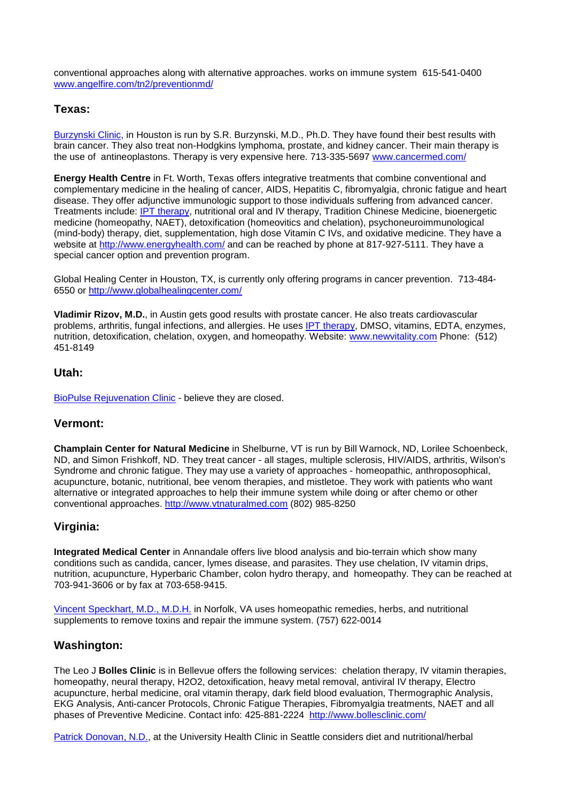conventional approaches along with alternative approaches. works on immune system 615-541-0400 [www.angelfire.com/tn2/preventionmd/](http://www.angelfire.com/tn2/preventionmd/)

#### **Texas:**

[Burzynski Clinic,](http://www.cancure.org/burzynski_institute.htm) in Houston is run by S.R. Burzynski, M.D., Ph.D. They have found their best results with brain cancer. They also treat non-Hodgkins lymphoma, prostate, and kidney cancer. Their main therapy is the use of antineoplastons. Therapy is very expensive here. 713-335-5697 [www.cancermed.com/](http://www.cancermed.com/)

**Energy Health Centre** in Ft. Worth, Texas offers integrative treatments that combine conventional and complementary medicine in the healing of cancer, AIDS, Hepatitis C, fibromyalgia, chronic fatigue and heart disease. They offer adjunctive immunologic support to those individuals suffering from advanced cancer. Treatments include: [IPT therapy,](http://www.cancure.org/insulin_potentiation_therapy.htm) nutritional oral and IV therapy, Tradition Chinese Medicine, bioenergetic medicine (homeopathy, NAET), detoxification (homeovitics and chelation), psychoneuroimmunological (mind-body) therapy, diet, supplementation, high dose Vitamin C IVs, and oxidative medicine. They have a website at<http://www.energyhealth.com/> and can be reached by phone at 817-927-5111. They have a special cancer option and prevention program.

Global Healing Center in Houston, TX, is currently only offering programs in cancer prevention. 713-484- 6550 or<http://www.globalhealingcenter.com/>

**Vladimir Rizov, M.D.**, in Austin gets good results with prostate cancer. He also treats cardiovascular problems, arthritis, fungal infections, and allergies. He uses [IPT therapy,](http://www.cancure.org/insulin_potentiation_therapy.htm) DMSO, vitamins, EDTA, enzymes, nutrition, detoxification, chelation, oxygen, and homeopathy. Website: [www.newvitality.com](http://newvitality.com/) Phone: (512) 451-8149

#### **Utah:**

[BioPulse Rejuvenation Clinic](http://www.cancure.org/bio_pulse.htm) - believe they are closed.

#### **Vermont:**

**Champlain Center for Natural Medicine** in Shelburne, VT is run by Bill Warnock, ND, Lorilee Schoenbeck, ND, and Simon Frishkoff, ND. They treat cancer - all stages, multiple sclerosis, HIV/AIDS, arthritis, Wilson's Syndrome and chronic fatigue. They may use a variety of approaches - homeopathic, anthroposophical, acupuncture, botanic, nutritional, bee venom therapies, and mistletoe. They work with patients who want alternative or integrated approaches to help their immune system while doing or after chemo or other conventional approaches. [http://www.vtnaturalmed.com](http://www.vtnaturalmed.com/) (802) 985-8250

## **Virginia:**

**Integrated Medical Center** in Annandale offers live blood analysis and bio-terrain which show many conditions such as candida, cancer, lymes disease, and parasites. They use chelation, IV vitamin drips, nutrition, acupuncture, Hyperbaric Chamber, colon hydro therapy, and homeopathy. They can be reached at 703-941-3606 or by fax at 703-658-9415.

[Vincent Speckhart, M.D., M.D.H.](http://www.cancure.org/dr_speckhart.htm) in Norfolk, VA uses homeopathic remedies, herbs, and nutritional supplements to remove toxins and repair the immune system. (757) 622-0014

#### **Washington:**

The Leo J **Bolles Clinic** is in Bellevue offers the following services: chelation therapy, IV vitamin therapies, homeopathy, neural therapy, H2O2, detoxification, heavy metal removal, antiviral IV therapy, Electro acupuncture, herbal medicine, oral vitamin therapy, dark field blood evaluation, Thermographic Analysis, EKG Analysis, Anti-cancer Protocols, Chronic Fatigue Therapies, Fibromyalgia treatments, NAET and all [phases of Preventive Medicine. Contact info: 425-881-2224](http://www.cancure.org/dr_donovan_nd.htm) <http://www.bollesclinic.com/>

[Patrick Donovan, N.D.,](http://www.cancure.org/dr_donovan_nd.htm) at the University Health Clinic in Seattle considers diet and nutritional/herbal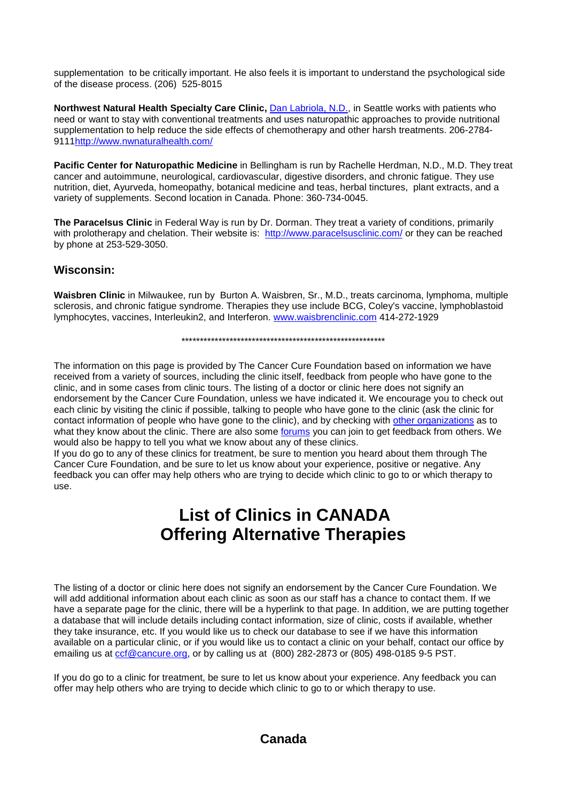supplementation to be critically important. He also feels it is important to understand the psychological side of the disease process. (206) 525-8015

**Northwest Natural Health Specialty Care Clinic,** *Dan Labriola, N.D.***, in Seattle works with patients who** need or want to stay with conventional treatments and uses naturopathic approaches to provide nutritional supplementation to help reduce the side effects of chemotherapy and other harsh treatments. 206-2784- 911[1http://www.nwnaturalhealth.com/](http://www.nwnaturalhealth.com/)

**Pacific Center for Naturopathic Medicine** in Bellingham is run by Rachelle Herdman, N.D., M.D. They treat cancer and autoimmune, neurological, cardiovascular, digestive disorders, and chronic fatigue. They use nutrition, diet, Ayurveda, homeopathy, botanical medicine and teas, herbal tinctures, plant extracts, and a variety of supplements. Second location in Canada. Phone: 360-734-0045.

**The Paracelsus Clinic** in Federal Way is run by Dr. Dorman. They treat a variety of conditions, primarily with prolotherapy and chelation. Their website is: <http://www.paracelsusclinic.com/> or they can be reached by phone at 253-529-3050.

#### **Wisconsin:**

**Waisbren Clinic** in Milwaukee, run by Burton A. Waisbren, Sr., M.D., treats carcinoma, lymphoma, multiple sclerosis, and chronic fatigue syndrome. Therapies they use include BCG, Coley's vaccine, lymphoblastoid lymphocytes, vaccines, Interleukin2, and Interferon. [www.waisbrenclinic.com](http://www.waisbrenclinic.com/) 414-272-1929

\*\*\*\*\*\*\*\*\*\*\*\*\*\*\*\*\*\*\*\*\*\*\*\*\*\*\*\*\*\*\*\*\*\*\*\*\*\*\*\*\*\*\*\*\*\*\*\*\*\*\*\*\*\*\*

The information on this page is provided by The Cancer Cure Foundation based on information we have received from a variety of sources, including the clinic itself, feedback from people who have gone to the clinic, and in some cases from clinic tours. The listing of a doctor or clinic here does not signify an endorsement by the Cancer Cure Foundation, unless we have indicated it. We encourage you to check out each clinic by visiting the clinic if possible, talking to people who have gone to the clinic (ask the clinic for contact information of people who have gone to the clinic), and by checking with [other organizations](http://www.cancure.org/organizations_additional.htm) as to what they know about the clinic. There are also some [forums](http://www.cancure.org/links.htm) you can join to get feedback from others. We would also be happy to tell you what we know about any of these clinics.

If you do go to any of these clinics for treatment, be sure to mention you heard about them through The Cancer Cure Foundation, and be sure to let us know about your experience, positive or negative. Any feedback you can offer may help others who are trying to decide which clinic to go to or which therapy to use.

# **List of Clinics in CANADA Offering Alternative Therapies**

The listing of a doctor or clinic here does not signify an endorsement by the Cancer Cure Foundation. We will add additional information about each clinic as soon as our staff has a chance to contact them. If we have a separate page for the clinic, there will be a hyperlink to that page. In addition, we are putting together a database that will include details including contact information, size of clinic, costs if available, whether they take insurance, etc. If you would like us to check our database to see if we have this information available on a particular clinic, or if you would like us to contact a clinic on your behalf, contact our office by emailing us at corf@cancure.org, or by calling us at (800) 282-2873 or (805) 498-0185 9-5 PST.

If you do go to a clinic for treatment, be sure to let us know about your experience. Any feedback you can offer may help others who are trying to decide which clinic to go to or which therapy to use.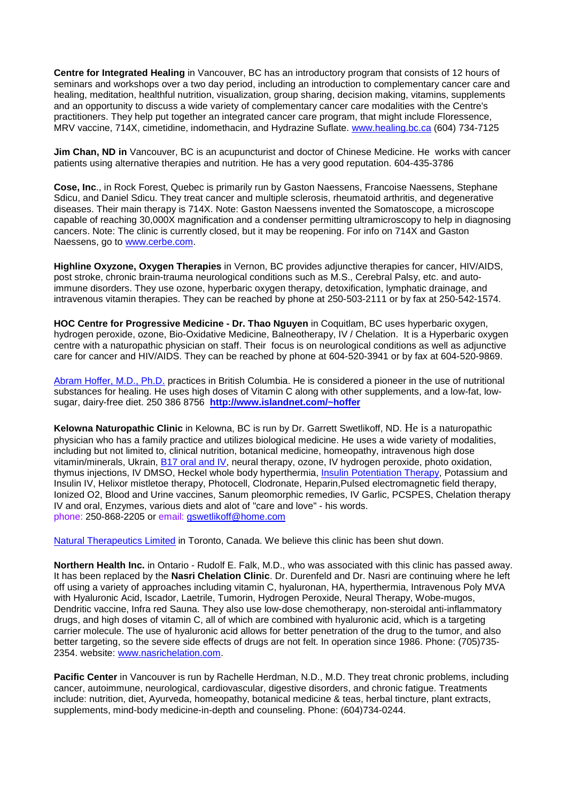**Centre for Integrated Healing** in Vancouver, BC has an introductory program that consists of 12 hours of seminars and workshops over a two day period, including an introduction to complementary cancer care and healing, meditation, healthful nutrition, visualization, group sharing, decision making, vitamins, supplements and an opportunity to discuss a wide variety of complementary cancer care modalities with the Centre's practitioners. They help put together an integrated cancer care program, that might include Floressence, MRV vaccine, 714X, cimetidine, indomethacin, and Hydrazine Suflate. [www.healing.bc.ca](http://www.healing.bc.ca/) (604) 734-7125

**Jim Chan, ND in** Vancouver, BC is an acupuncturist and doctor of Chinese Medicine. He works with cancer patients using alternative therapies and nutrition. He has a very good reputation. 604-435-3786

**Cose, Inc**., in Rock Forest, Quebec is primarily run by Gaston Naessens, Francoise Naessens, Stephane Sdicu, and Daniel Sdicu. They treat cancer and multiple sclerosis, rheumatoid arthritis, and degenerative diseases. Their main therapy is 714X. Note: Gaston Naessens invented the Somatoscope, a microscope capable of reaching 30,000X magnification and a condenser permitting ultramicroscopy to help in diagnosing cancers. Note: The clinic is currently closed, but it may be reopening. For info on 714X and Gaston Naessens, go to [www.cerbe.com.](http://www.cerbe.com/)

**Highline Oxyzone, Oxygen Therapies** in Vernon, BC provides adjunctive therapies for cancer, HIV/AIDS, post stroke, chronic brain-trauma neurological conditions such as M.S., Cerebral Palsy, etc. and autoimmune disorders. They use ozone, hyperbaric oxygen therapy, detoxification, lymphatic drainage, and intravenous vitamin therapies. They can be reached by phone at 250-503-2111 or by fax at 250-542-1574.

**HOC Centre for Progressive Medicine - Dr. Thao Nguyen** in Coquitlam, BC uses hyperbaric oxygen, hydrogen peroxide, ozone, Bio-Oxidative Medicine, Balneotherapy, IV / Chelation. It is a Hyperbaric oxygen centre with a naturopathic physician on staff. Their focus is on neurological conditions as well as adjunctive care for cancer and HIV/AIDS. They can be reached by phone at 604-520-3941 or by fax at 604-520-9869.

[Abram Hoffer, M.D., Ph.D.](http://www.cancure.org/hoffer.htm) practices in British Columbia. He is considered a pioneer in the use of nutritional substances for healing. He uses high doses of Vitamin C along with other supplements, and a low-fat, lowsugar, dairy-free diet. 250 386 8756 **<http://www.islandnet.com/~hoffer>**

**Kelowna Naturopathic Clinic** in Kelowna, BC is run by Dr. Garrett Swetlikoff, ND. He is a naturopathic physician who has a family practice and utilizes biological medicine. He uses a wide variety of modalities, including but not limited to, clinical nutrition, botanical medicine, homeopathy, intravenous high dose vitamin/minerals, Ukrain, [B17 oral and IV,](http://www.cancure.org/laetrile.htm) neural therapy, ozone, IV hydrogen peroxide, photo oxidation, thymus injections, IV DMSO, Heckel whole body hyperthermia, [Insulin Potentiation Therapy,](http://www.cancure.org/insulin_potentiation_therapy.htm) Potassium and Insulin IV, Helixor mistletoe therapy, Photocell, Clodronate, Heparin,Pulsed electromagnetic field therapy, Ionized O2, Blood and Urine vaccines, Sanum pleomorphic remedies, IV Garlic, PCSPES, Chelation therapy IV and oral, Enzymes, various diets and alot of "care and love" - his words. phone: 250-868-2205 or email: [gswetlikoff@home.com](mailto:Gswetlikoff@home.com)

[Natural Therapeutics Limited](http://www.cancure.org/natural_therapeutics_ltd.htm) in Toronto, Canada. We believe this clinic has been shut down.

**Northern Health Inc.** in Ontario - Rudolf E. Falk, M.D., who was associated with this clinic has passed away. It has been replaced by the **Nasri Chelation Clinic**. Dr. Durenfeld and Dr. Nasri are continuing where he left off using a variety of approaches including vitamin C, hyaluronan, HA, hyperthermia, Intravenous Poly MVA with Hyaluronic Acid, Iscador, Laetrile, Tumorin, Hydrogen Peroxide, Neural Therapy, Wobe-mugos, Dendritic vaccine, Infra red Sauna. They also use low-dose chemotherapy, non-steroidal anti-inflammatory drugs, and high doses of vitamin C, all of which are combined with hyaluronic acid, which is a targeting carrier molecule. The use of hyaluronic acid allows for better penetration of the drug to the tumor, and also better targeting, so the severe side effects of drugs are not felt. In operation since 1986. Phone: (705)735- 2354. website: [www.nasrichelation.com.](http://www.nasrichelation.com/)

**Pacific Center** in Vancouver is run by Rachelle Herdman, N.D., M.D. They treat chronic problems, including cancer, autoimmune, neurological, cardiovascular, digestive disorders, and chronic fatigue. Treatments include: nutrition, diet, Ayurveda, homeopathy, botanical medicine & teas, herbal tincture, plant extracts, supplements, mind-body medicine-in-depth and counseling. Phone: (604)734-0244.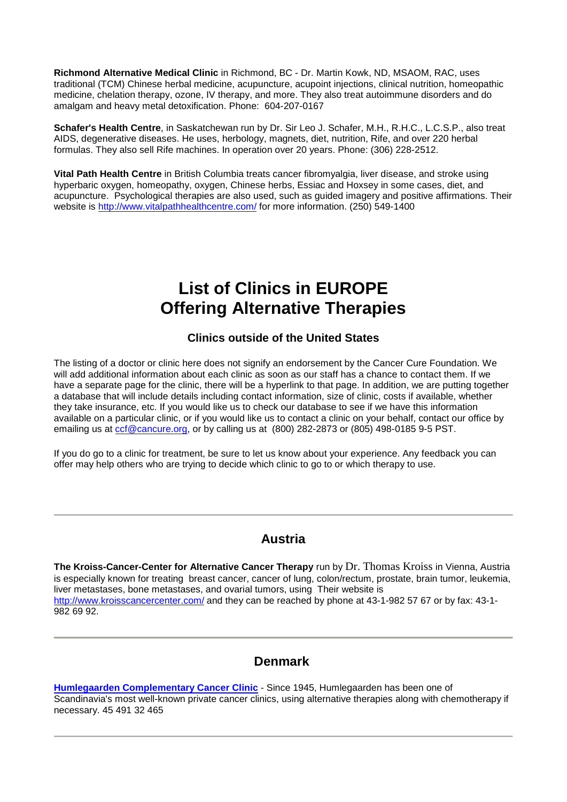**Richmond Alternative Medical Clinic** in Richmond, BC - Dr. Martin Kowk, ND, MSAOM, RAC, uses traditional (TCM) Chinese herbal medicine, acupuncture, acupoint injections, clinical nutrition, homeopathic medicine, chelation therapy, ozone, IV therapy, and more. They also treat autoimmune disorders and do amalgam and heavy metal detoxification. Phone: 604-207-0167

**Schafer's Health Centre**, in Saskatchewan run by Dr. Sir Leo J. Schafer, M.H., R.H.C., L.C.S.P., also treat AIDS, degenerative diseases. He uses, herbology, magnets, diet, nutrition, Rife, and over 220 herbal formulas. They also sell Rife machines. In operation over 20 years. Phone: (306) 228-2512.

**Vital Path Health Centre** in British Columbia treats cancer fibromyalgia, liver disease, and stroke using hyperbaric oxygen, homeopathy, oxygen, Chinese herbs, Essiac and Hoxsey in some cases, diet, and acupuncture. Psychological therapies are also used, such as guided imagery and positive affirmations. Their website is<http://www.vitalpathhealthcentre.com/> for more information. (250) 549-1400

# **List of Clinics in EUROPE Offering Alternative Therapies**

## **Clinics outside of the United States**

The listing of a doctor or clinic here does not signify an endorsement by the Cancer Cure Foundation. We will add additional information about each clinic as soon as our staff has a chance to contact them. If we have a separate page for the clinic, there will be a hyperlink to that page. In addition, we are putting together a database that will include details including contact information, size of clinic, costs if available, whether they take insurance, etc. If you would like us to check our database to see if we have this information available on a particular clinic, or if you would like us to contact a clinic on your behalf, contact our office by emailing us at [ccf@cancure.org,](mailto:CCF@cancure.org) or by calling us at (800) 282-2873 or (805) 498-0185 9-5 PST.

If you do go to a clinic for treatment, be sure to let us know about your experience. Any feedback you can offer may help others who are trying to decide which clinic to go to or which therapy to use.

## **Austria**

**The Kroiss-Cancer-Center for Alternative Cancer Therapy** run by Dr. Thomas Kroiss in Vienna, Austria is especially known for treating breast cancer, cancer of lung, colon/rectum, prostate, brain tumor, leukemia, liver metastases, bone metastases, and ovarial tumors, using Their website is <http://www.kroisscancercenter.com/> and they can be reached by phone at 43-1-982 57 67 or by fax: 43-1- 982 69 92.

## **Denmark**

**[Humlegaarden Complementary Cancer Clinic](http://www.cancure.org/humlegaarden.htm)** - Since 1945, Humlegaarden has been one of Scandinavia's most well-known private cancer clinics, using alternative therapies along with chemotherapy if necessary. 45 491 32 465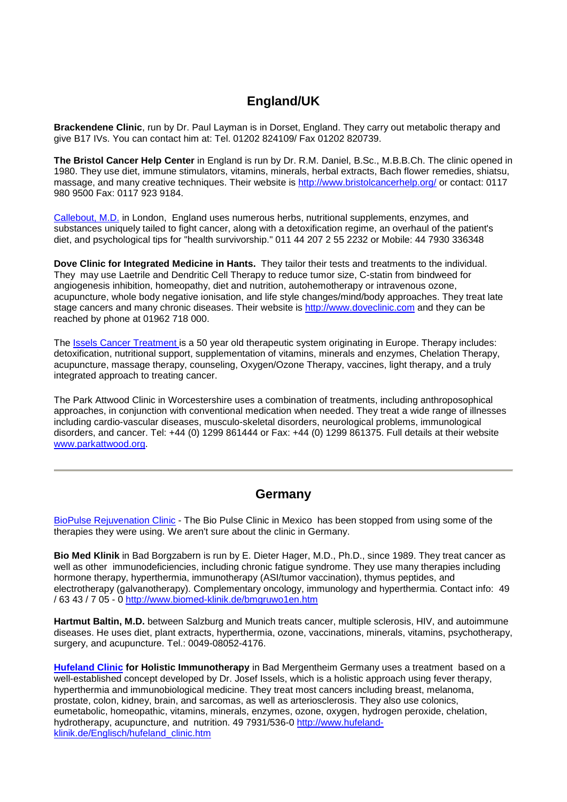## **England/UK**

**Brackendene Clinic**, run by Dr. Paul Layman is in Dorset, England. They carry out metabolic therapy and give B17 IVs. You can contact him at: Tel. 01202 824109/ Fax 01202 820739.

**The Bristol Cancer Help Center** in England is run by Dr. R.M. Daniel, B.Sc., M.B.B.Ch. The clinic opened in 1980. They use diet, immune stimulators, vitamins, minerals, herbal extracts, Bach flower remedies, shiatsu, massage, and many creative techniques. Their website is<http://www.bristolcancerhelp.org/> or contact: 0117 980 9500 Fax: 0117 923 9184.

[Callebout, M.D.](http://www.cancure.org/dr_callebout.htm) in London, England uses numerous herbs, nutritional supplements, enzymes, and substances uniquely tailed to fight cancer, along with a detoxification regime, an overhaul of the patient's diet, and psychological tips for "health survivorship." 011 44 207 2 55 2232 or Mobile: 44 7930 336348

**Dove Clinic for Integrated Medicine in Hants.** They tailor their tests and treatments to the individual. They may use Laetrile and Dendritic Cell Therapy to reduce tumor size, C-statin from bindweed for angiogenesis inhibition, homeopathy, diet and nutrition, autohemotherapy or intravenous ozone, acupuncture, whole body negative ionisation, and life style changes/mind/body approaches. They treat late stage cancers and many chronic diseases. Their website is [http://www.doveclinic.com](http://www.doveclinic.com/) and they can be reached by phone at 01962 718 000.

The [Issels Cancer Treatment is](http://www.cancure.org/issels_therapy.htm) a 50 year old therapeutic system originating in Europe. Therapy includes: detoxification, nutritional support, supplementation of vitamins, minerals and enzymes, Chelation Therapy, acupuncture, massage therapy, counseling, Oxygen/Ozone Therapy, vaccines, light therapy, and a truly integrated approach to treating cancer.

The Park Attwood Clinic in Worcestershire uses a combination of treatments, including anthroposophical approaches, in conjunction with conventional medication when needed. They treat a wide range of illnesses including cardio-vascular diseases, musculo-skeletal disorders, neurological problems, immunological disorders, and cancer. Tel: +44 (0) 1299 861444 or Fax: +44 (0) 1299 861375. Full details at their website [www.parkattwood.org.](http://www.parkattwood.org/)

## **Germany**

[BioPulse Rejuvenation Clinic](http://www.cancure.org/bio_pulse.htm) - The Bio Pulse Clinic in Mexico has been stopped from using some of the therapies they were using. We aren't sure about the clinic in Germany.

**Bio Med Klinik** in Bad Borgzabern is run by E. Dieter Hager, M.D., Ph.D., since 1989. They treat cancer as well as other immunodeficiencies, including chronic fatigue syndrome. They use many therapies including hormone therapy, hyperthermia, immunotherapy (ASI/tumor vaccination), thymus peptides, and electrotherapy (galvanotherapy). Complementary oncology, immunology and hyperthermia. Contact info: 49 / 63 43 / 7 05 - 0<http://www.biomed-klinik.de/bmgruwo1en.htm>

**Hartmut Baltin, M.D.** between Salzburg and Munich treats cancer, multiple sclerosis, HIV, and autoimmune diseases. He uses diet, plant extracts, hyperthermia, ozone, vaccinations, minerals, vitamins, psychotherapy, surgery, and acupuncture. Tel.: 0049-08052-4176.

**[Hufeland Clinic](http://www.cancure.org/hufeland_clinic.htm) for Holistic Immunotherapy** in Bad Mergentheim Germany uses a treatment based on a well-established concept developed by Dr. Josef Issels, which is a holistic approach using fever therapy, hyperthermia and immunobiological medicine. They treat most cancers including breast, melanoma, prostate, colon, kidney, brain, and sarcomas, as well as arteriosclerosis. They also use colonics, eumetabolic, homeopathic, vitamins, minerals, enzymes, ozone, oxygen, hydrogen peroxide, chelation, hydrotherapy, acupuncture, and nutrition. 49 7931/536-0 [http://www.hufeland](http://www.hufeland-klinik.de/Englisch/hufeland_clinic.htm)[klinik.de/Englisch/hufeland\\_clinic.htm](http://www.hufeland-klinik.de/Englisch/hufeland_clinic.htm)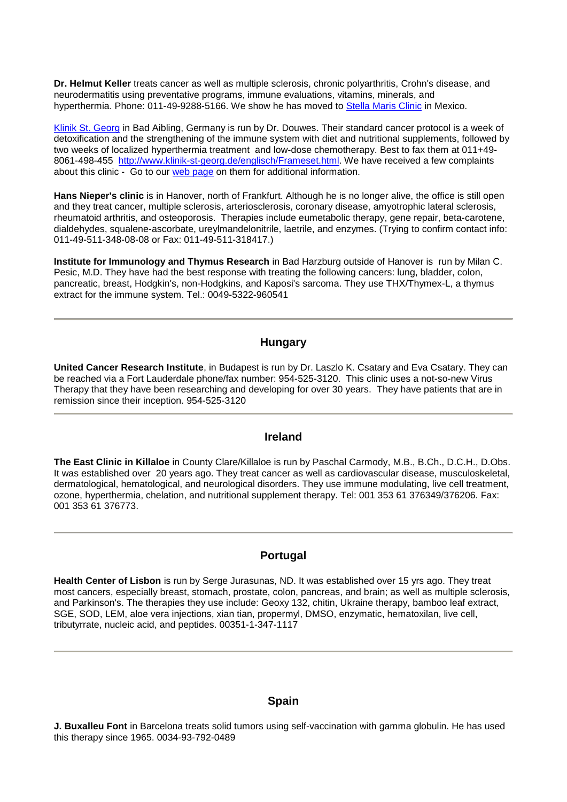**Dr. Helmut Keller** treats cancer as well as multiple sclerosis, chronic polyarthritis, Crohn's disease, and neurodermatitis using preventative programs, immune evaluations, vitamins, minerals, and hyperthermia. [Phone: 011-49-9288-5166. We show he has moved to](http://www.cancure.org/klinik_st_george.htm) [Stella Maris Clinic](http://www.cancure.org/stella_maris_clinic.htm) in Mexico.

[Klinik St. Georg](http://www.cancure.org/klinik_st_george.htm) in Bad Aibling, Germany is run by Dr. Douwes. Their standard cancer protocol is a week of detoxification and the strengthening of the immune system with diet and nutritional supplements, followed by two weeks of localized hyperthermia treatment and low-dose chemotherapy. Best to fax them at 011+49- 8061-498-455 [http://www.klinik-st-georg.de/englisch/Frameset.html.](http://www.klinik-st-georg.de/englisch/Frameset.html) We have received a few complaints about this clinic - Go to our [web page](http://www.cancure.org/klinik_st_george.htm) on them for additional information.

**Hans Nieper's clinic** is in Hanover, north of Frankfurt. Although he is no longer alive, the office is still open and they treat cancer, multiple sclerosis, arteriosclerosis, coronary disease, amyotrophic lateral sclerosis, rheumatoid arthritis, and osteoporosis. Therapies include eumetabolic therapy, gene repair, beta-carotene, dialdehydes, squalene-ascorbate, ureylmandelonitrile, laetrile, and enzymes. (Trying to confirm contact info: 011-49-511-348-08-08 or Fax: 011-49-511-318417.)

**Institute for Immunology and Thymus Research** in Bad Harzburg outside of Hanover is run by Milan C. Pesic, M.D. They have had the best response with treating the following cancers: lung, bladder, colon, pancreatic, breast, Hodgkin's, non-Hodgkins, and Kaposi's sarcoma. They use THX/Thymex-L, a thymus extract for the immune system. Tel.: 0049-5322-960541

#### **Hungary**

**United Cancer Research Institute**, in Budapest is run by Dr. Laszlo K. Csatary and Eva Csatary. They can be reached via a Fort Lauderdale phone/fax number: 954-525-3120. This clinic uses a not-so-new Virus Therapy that they have been researching and developing for over 30 years. They have patients that are in remission since their inception. 954-525-3120

#### **Ireland**

**The East Clinic in Killaloe** in County Clare/Killaloe is run by Paschal Carmody, M.B., B.Ch., D.C.H., D.Obs. It was established over 20 years ago. They treat cancer as well as cardiovascular disease, musculoskeletal, dermatological, hematological, and neurological disorders. They use immune modulating, live cell treatment, ozone, hyperthermia, chelation, and nutritional supplement therapy. Tel: 001 353 61 376349/376206. Fax: 001 353 61 376773.

#### **Portugal**

**Health Center of Lisbon** is run by Serge Jurasunas, ND. It was established over 15 yrs ago. They treat most cancers, especially breast, stomach, prostate, colon, pancreas, and brain; as well as multiple sclerosis, and Parkinson's. The therapies they use include: Geoxy 132, chitin, Ukraine therapy, bamboo leaf extract, SGE, SOD, LEM, aloe vera injections, xian tian, propermyl, DMSO, enzymatic, hematoxilan, live cell, tributyrrate, nucleic acid, and peptides. 00351-1-347-1117

#### **Spain**

**J. Buxalleu Font** in Barcelona treats solid tumors using self-vaccination with gamma globulin. He has used this therapy since 1965. 0034-93-792-0489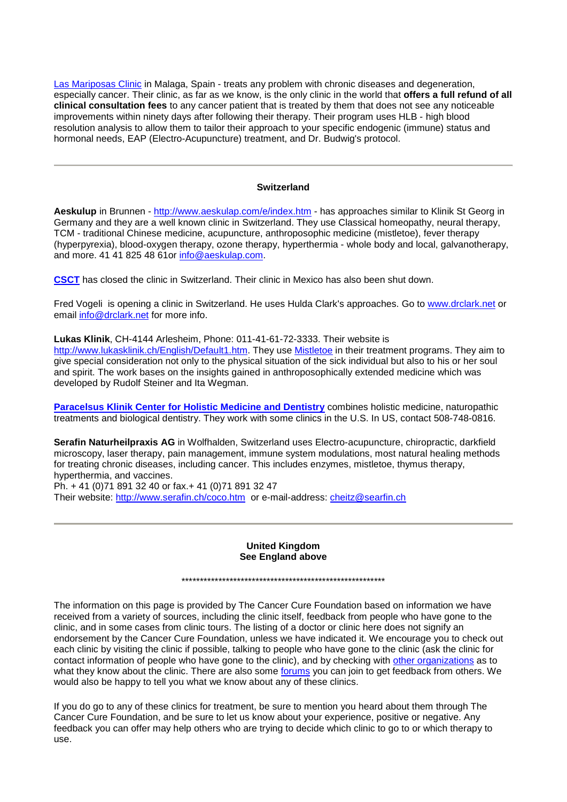[Las Mariposas Clinic](http://www.cancure.org/las_mariposas_clinic.htm) in Malaga, Spain - treats any problem with chronic diseases and degeneration, especially cancer. Their clinic, as far as we know, is the only clinic in the world that **offers a full refund of all clinical consultation fees** to any cancer patient that is treated by them that does not see any noticeable improvements within ninety days after following their therapy. Their program uses HLB - high blood resolution analysis to allow them to tailor their approach to your specific endogenic (immune) status and hormonal needs, EAP (Electro-Acupuncture) treatment, and Dr. Budwig's protocol.

#### **Switzerland**

**Aeskulup** in Brunnen - <http://www.aeskulap.com/e/index.htm> - has approaches similar to Klinik St Georg in Germany and they are a well known clinic in Switzerland. They use Classical homeopathy, neural therapy, TCM - traditional Chinese medicine, acupuncture, anthroposophic medicine (mistletoe), fever therapy (hyperpyrexia), blood-oxygen therapy, ozone therapy, hyperthermia - whole body and local, galvanotherapy, and more. 41 41 825 48 61or [info@aeskulap.com.](mailto:info@aeskulap.com)

**[CSCT](http://www.cancure.org/csct.htm)** has closed the clinic in Switzerland. Their clinic in Mexico has also been shut down.

Fred Vogeli is opening a clinic in Switzerland. He uses Hulda Clark's approaches. Go to [www.drclark.net](http://www.drclark.net/) or email [info@drclark.net](mailto:info@drclark.net) for more info.

**Lukas Klinik**, CH-4144 Arlesheim, Phone: 011-41-61-72-3333. Their website is [http://www.lukasklinik.ch/English/Default1.htm.](http://www.lukasklinik.ch/English/Default1.htm) They use [Mistletoe](http://www.cancure.org/iscador_mistletoe.htm) in their treatment programs. They aim to give special consideration not only to the physical situation of the sick individual but also to his or her soul and spirit. The work bases on the insights gained in anthroposophically extended medicine which was developed by Rudolf Steiner and Ita Wegman.

**[Paracelsus Klinik Center for Holistic Medicine and Dentistry](http://www.cancure.org/paracelsus_clinic.htm)** combines holistic medicine, naturopathic treatments and biological dentistry. They work with some clinics in the U.S. In US, contact 508-748-0816.

**Serafin Naturheilpraxis AG** in Wolfhalden, Switzerland uses Electro-acupuncture, chiropractic, darkfield microscopy, laser therapy, pain management, immune system modulations, most natural healing methods for treating chronic diseases, including cancer. This includes enzymes, mistletoe, thymus therapy, hyperthermia, and vaccines.

Ph. + 41 (0)71 891 32 40 or fax.+ 41 (0)71 891 32 47 Their website:<http://www.serafin.ch/coco.htm> or e-mail-address: [cheitz@searfin.ch](mailto:cheitz@searfin.ch)

#### **United Kingdom See England above**

\*\*\*\*\*\*\*\*\*\*\*\*\*\*\*\*\*\*\*\*\*\*\*\*\*\*\*\*\*\*\*\*\*\*\*\*\*\*\*\*\*\*\*\*\*\*\*\*\*\*\*\*\*\*\*

The information on this page is provided by The Cancer Cure Foundation based on information we have received from a variety of sources, including the clinic itself, feedback from people who have gone to the clinic, and in some cases from clinic tours. The listing of a doctor or clinic here does not signify an endorsement by the Cancer Cure Foundation, unless we have indicated it. We encourage you to check out each clinic by visiting the clinic if possible, talking to people who have gone to the clinic (ask the clinic for contact information of people who have gone to the clinic), and by checking with [other organizations](http://www.cancure.org/organizations_additional.htm) as to what they know about the clinic. There are also some [forums](http://www.cancure.org/links.htm) you can join to get feedback from others. We would also be happy to tell you what we know about any of these clinics.

If you do go to any of these clinics for treatment, be sure to mention you heard about them through The Cancer Cure Foundation, and be sure to let us know about your experience, positive or negative. Any feedback you can offer may help others who are trying to decide which clinic to go to or which therapy to use.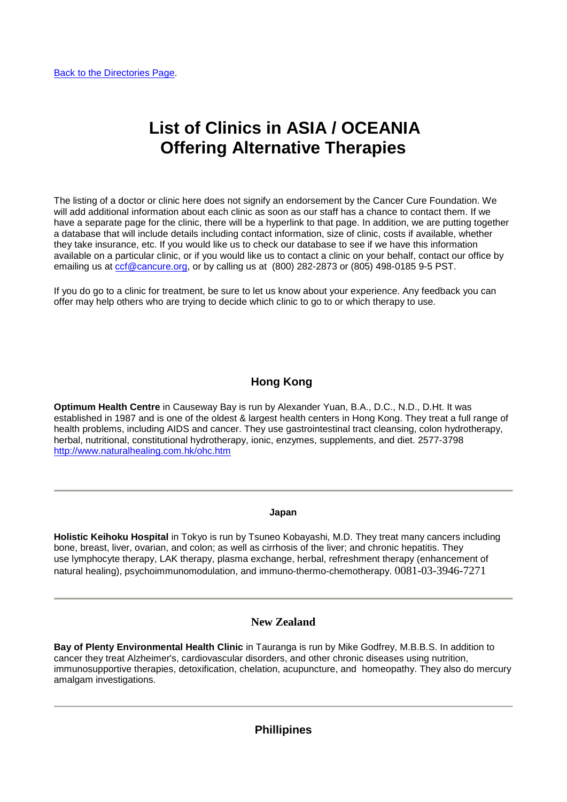# **List of Clinics in ASIA / OCEANIA Offering Alternative Therapies**

The listing of a doctor or clinic here does not signify an endorsement by the Cancer Cure Foundation. We will add additional information about each clinic as soon as our staff has a chance to contact them. If we have a separate page for the clinic, there will be a hyperlink to that page. In addition, we are putting together a database that will include details including contact information, size of clinic, costs if available, whether they take insurance, etc. If you would like us to check our database to see if we have this information available on a particular clinic, or if you would like us to contact a clinic on your behalf, contact our office by emailing us at [ccf@cancure.org,](mailto:CCF@cancure.org) or by calling us at (800) 282-2873 or (805) 498-0185 9-5 PST.

If you do go to a clinic for treatment, be sure to let us know about your experience. Any feedback you can offer may help others who are trying to decide which clinic to go to or which therapy to use.

## **Hong Kong**

**Optimum Health Centre** in Causeway Bay is run by Alexander Yuan, B.A., D.C., N.D., D.Ht. It was established in 1987 and is one of the oldest & largest health centers in Hong Kong. They treat a full range of health problems, including AIDS and cancer. They use gastrointestinal tract cleansing, colon hydrotherapy, herbal, nutritional, constitutional hydrotherapy, ionic, enzymes, supplements, and diet. 2577-3798 <http://www.naturalhealing.com.hk/ohc.htm>

#### **Japan**

**Holistic Keihoku Hospital** in Tokyo is run by Tsuneo Kobayashi, M.D. They treat many cancers including bone, breast, liver, ovarian, and colon; as well as cirrhosis of the liver; and chronic hepatitis. They use lymphocyte therapy, LAK therapy, plasma exchange, herbal, refreshment therapy (enhancement of natural healing), psychoimmunomodulation, and immuno-thermo-chemotherapy. 0081-03-3946-7271

#### **New Zealand**

**Bay of Plenty Environmental Health Clinic** in Tauranga is run by Mike Godfrey, M.B.B.S. In addition to cancer they treat Alzheimer's, cardiovascular disorders, and other chronic diseases using nutrition, immunosupportive therapies, detoxification, chelation, acupuncture, and homeopathy. They also do mercury amalgam investigations.

#### **Phillipines**